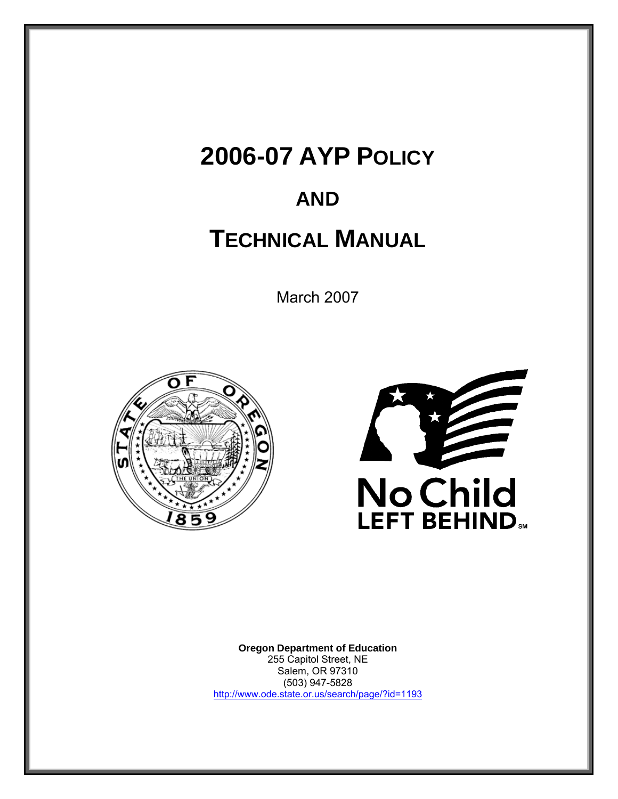# **2006-07 AYP POLICY**

# **AND**

# **TECHNICAL MANUAL**

March 2007





**Oregon Department of Education** 255 Capitol Street, NE Salem, OR 97310 (503) 947-5828 http://www.ode.state.or.us/search/page/?id=1193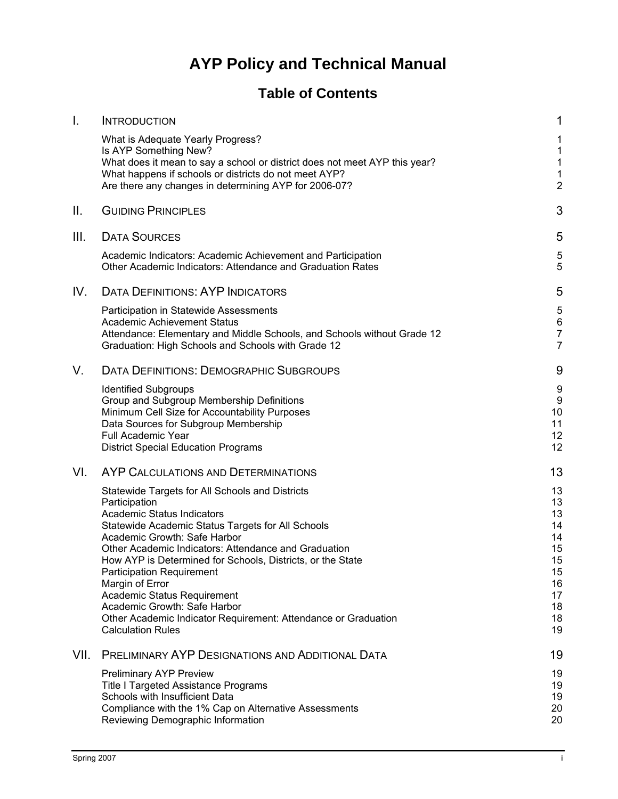## **AYP Policy and Technical Manual**

## **Table of Contents**

| $\mathbf{I}$ . | <b>INTRODUCTION</b>                                                                                                                                                                                                                                                                                                                                                                                                                                                                                                                  | 1                                                                          |
|----------------|--------------------------------------------------------------------------------------------------------------------------------------------------------------------------------------------------------------------------------------------------------------------------------------------------------------------------------------------------------------------------------------------------------------------------------------------------------------------------------------------------------------------------------------|----------------------------------------------------------------------------|
|                | What is Adequate Yearly Progress?<br>Is AYP Something New?<br>What does it mean to say a school or district does not meet AYP this year?<br>What happens if schools or districts do not meet AYP?<br>Are there any changes in determining AYP for 2006-07?                                                                                                                                                                                                                                                                           | 1<br>1<br>1<br>1<br>$\overline{c}$                                         |
| Ш.             | <b>GUIDING PRINCIPLES</b>                                                                                                                                                                                                                                                                                                                                                                                                                                                                                                            | 3                                                                          |
| III.           | <b>DATA SOURCES</b>                                                                                                                                                                                                                                                                                                                                                                                                                                                                                                                  | 5                                                                          |
|                | Academic Indicators: Academic Achievement and Participation<br>Other Academic Indicators: Attendance and Graduation Rates                                                                                                                                                                                                                                                                                                                                                                                                            | 5<br>5                                                                     |
| IV.            | <b>DATA DEFINITIONS: AYP INDICATORS</b>                                                                                                                                                                                                                                                                                                                                                                                                                                                                                              | 5                                                                          |
|                | Participation in Statewide Assessments<br>Academic Achievement Status<br>Attendance: Elementary and Middle Schools, and Schools without Grade 12<br>Graduation: High Schools and Schools with Grade 12                                                                                                                                                                                                                                                                                                                               | 5<br>6<br>$\overline{7}$<br>$\overline{7}$                                 |
| V.             | <b>DATA DEFINITIONS: DEMOGRAPHIC SUBGROUPS</b>                                                                                                                                                                                                                                                                                                                                                                                                                                                                                       | 9                                                                          |
|                | <b>Identified Subgroups</b><br>Group and Subgroup Membership Definitions<br>Minimum Cell Size for Accountability Purposes<br>Data Sources for Subgroup Membership<br><b>Full Academic Year</b><br><b>District Special Education Programs</b>                                                                                                                                                                                                                                                                                         | 9<br>9<br>10<br>11<br>12<br>12                                             |
| VI.            | AYP CALCULATIONS AND DETERMINATIONS                                                                                                                                                                                                                                                                                                                                                                                                                                                                                                  | 13                                                                         |
|                | Statewide Targets for All Schools and Districts<br>Participation<br><b>Academic Status Indicators</b><br>Statewide Academic Status Targets for All Schools<br>Academic Growth: Safe Harbor<br>Other Academic Indicators: Attendance and Graduation<br>How AYP is Determined for Schools, Districts, or the State<br><b>Participation Requirement</b><br>Margin of Error<br>Academic Status Requirement<br>Academic Growth: Safe Harbor<br>Other Academic Indicator Requirement: Attendance or Graduation<br><b>Calculation Rules</b> | 13<br>13<br>13<br>14<br>14<br>15<br>15<br>15<br>16<br>17<br>18<br>18<br>19 |
| VII.           | <b>PRELIMINARY AYP DESIGNATIONS AND ADDITIONAL DATA</b>                                                                                                                                                                                                                                                                                                                                                                                                                                                                              | 19                                                                         |
|                | <b>Preliminary AYP Preview</b><br><b>Title I Targeted Assistance Programs</b><br>Schools with Insufficient Data<br>Compliance with the 1% Cap on Alternative Assessments<br>Reviewing Demographic Information                                                                                                                                                                                                                                                                                                                        | 19<br>19<br>19<br>20<br>20                                                 |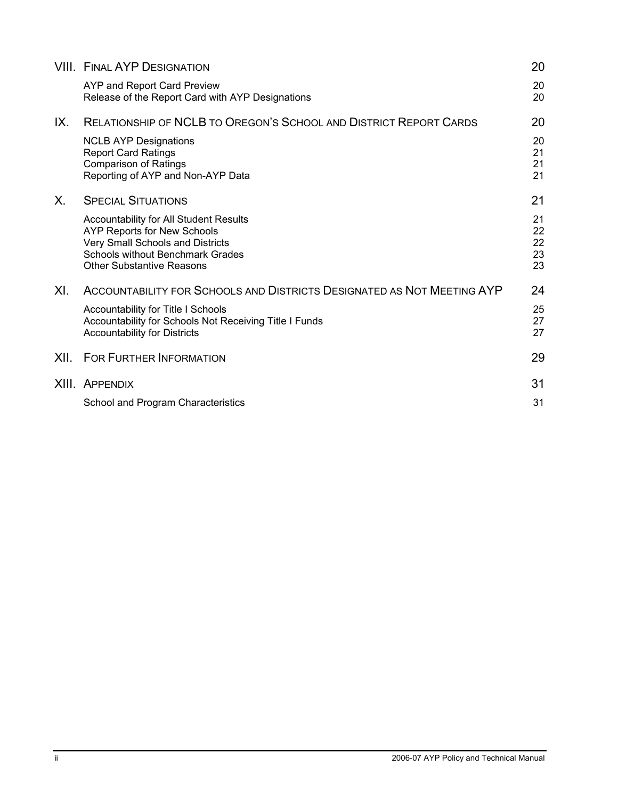|      | <b>VIII. FINAL AYP DESIGNATION</b>                                                                                                                                                                     | 20                         |
|------|--------------------------------------------------------------------------------------------------------------------------------------------------------------------------------------------------------|----------------------------|
|      | AYP and Report Card Preview<br>Release of the Report Card with AYP Designations                                                                                                                        | 20<br>20                   |
| IX.  | <b>RELATIONSHIP OF NCLB TO OREGON'S SCHOOL AND DISTRICT REPORT CARDS</b>                                                                                                                               | 20                         |
|      | <b>NCLB AYP Designations</b><br><b>Report Card Ratings</b><br><b>Comparison of Ratings</b><br>Reporting of AYP and Non-AYP Data                                                                        | 20<br>21<br>21<br>21       |
| Х.   | <b>SPECIAL SITUATIONS</b>                                                                                                                                                                              | 21                         |
|      | <b>Accountability for All Student Results</b><br><b>AYP Reports for New Schools</b><br>Very Small Schools and Districts<br><b>Schools without Benchmark Grades</b><br><b>Other Substantive Reasons</b> | 21<br>22<br>22<br>23<br>23 |
| XI.  | ACCOUNTABILITY FOR SCHOOLS AND DISTRICTS DESIGNATED AS NOT MEETING AYP                                                                                                                                 | 24                         |
|      | Accountability for Title I Schools<br>Accountability for Schools Not Receiving Title I Funds<br><b>Accountability for Districts</b>                                                                    | 25<br>27<br>27             |
| XII. | <b>FOR FURTHER INFORMATION</b>                                                                                                                                                                         | 29                         |
|      | XIII. APPENDIX                                                                                                                                                                                         | 31                         |
|      | School and Program Characteristics                                                                                                                                                                     | 31                         |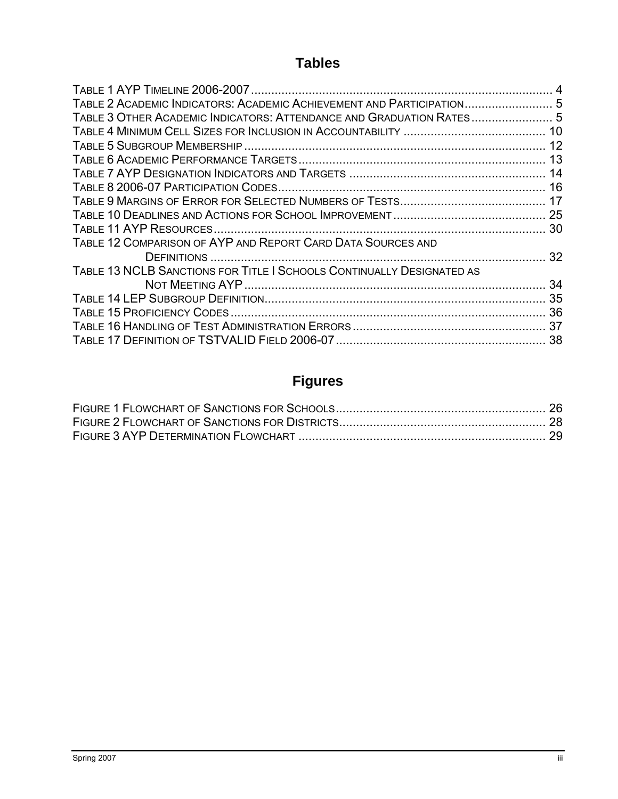## **Tables**

| TABLE 2 ACADEMIC INDICATORS: ACADEMIC ACHIEVEMENT AND PARTICIPATION 5 |  |
|-----------------------------------------------------------------------|--|
| TABLE 3 OTHER ACADEMIC INDICATORS: ATTENDANCE AND GRADUATION RATES 5  |  |
|                                                                       |  |
|                                                                       |  |
|                                                                       |  |
|                                                                       |  |
|                                                                       |  |
|                                                                       |  |
|                                                                       |  |
|                                                                       |  |
| TABLE 12 COMPARISON OF AYP AND REPORT CARD DATA SOURCES AND           |  |
|                                                                       |  |
| TABLE 13 NCLB SANCTIONS FOR TITLE I SCHOOLS CONTINUALLY DESIGNATED AS |  |
|                                                                       |  |
|                                                                       |  |
|                                                                       |  |
|                                                                       |  |
|                                                                       |  |

## **Figures**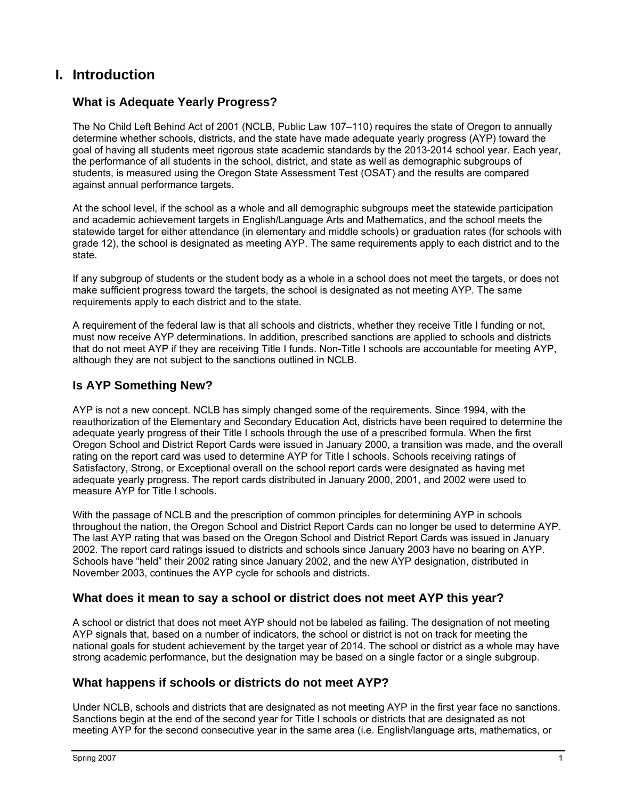## **I. Introduction**

#### **What is Adequate Yearly Progress?**

The No Child Left Behind Act of 2001 (NCLB, Public Law 107–110) requires the state of Oregon to annually determine whether schools, districts, and the state have made adequate yearly progress (AYP) toward the goal of having all students meet rigorous state academic standards by the 2013-2014 school year. Each year, the performance of all students in the school, district, and state as well as demographic subgroups of students, is measured using the Oregon State Assessment Test (OSAT) and the results are compared against annual performance targets.

At the school level, if the school as a whole and all demographic subgroups meet the statewide participation and academic achievement targets in English/Language Arts and Mathematics, and the school meets the statewide target for either attendance (in elementary and middle schools) or graduation rates (for schools with grade 12), the school is designated as meeting AYP. The same requirements apply to each district and to the state.

If any subgroup of students or the student body as a whole in a school does not meet the targets, or does not make sufficient progress toward the targets, the school is designated as not meeting AYP. The same requirements apply to each district and to the state.

A requirement of the federal law is that all schools and districts, whether they receive Title I funding or not, must now receive AYP determinations. In addition, prescribed sanctions are applied to schools and districts that do not meet AYP if they are receiving Title I funds. Non-Title I schools are accountable for meeting AYP, although they are not subject to the sanctions outlined in NCLB.

#### **Is AYP Something New?**

AYP is not a new concept. NCLB has simply changed some of the requirements. Since 1994, with the reauthorization of the Elementary and Secondary Education Act, districts have been required to determine the adequate yearly progress of their Title I schools through the use of a prescribed formula. When the first Oregon School and District Report Cards were issued in January 2000, a transition was made, and the overall rating on the report card was used to determine AYP for Title I schools. Schools receiving ratings of Satisfactory, Strong, or Exceptional overall on the school report cards were designated as having met adequate yearly progress. The report cards distributed in January 2000, 2001, and 2002 were used to measure AYP for Title I schools.

With the passage of NCLB and the prescription of common principles for determining AYP in schools throughout the nation, the Oregon School and District Report Cards can no longer be used to determine AYP. The last AYP rating that was based on the Oregon School and District Report Cards was issued in January 2002. The report card ratings issued to districts and schools since January 2003 have no bearing on AYP. Schools have "held" their 2002 rating since January 2002, and the new AYP designation, distributed in November 2003, continues the AYP cycle for schools and districts.

#### **What does it mean to say a school or district does not meet AYP this year?**

A school or district that does not meet AYP should not be labeled as failing. The designation of not meeting AYP signals that, based on a number of indicators, the school or district is not on track for meeting the national goals for student achievement by the target year of 2014. The school or district as a whole may have strong academic performance, but the designation may be based on a single factor or a single subgroup.

#### **What happens if schools or districts do not meet AYP?**

Under NCLB, schools and districts that are designated as not meeting AYP in the first year face no sanctions. Sanctions begin at the end of the second year for Title I schools or districts that are designated as not meeting AYP for the second consecutive year in the same area (i.e. English/language arts, mathematics, or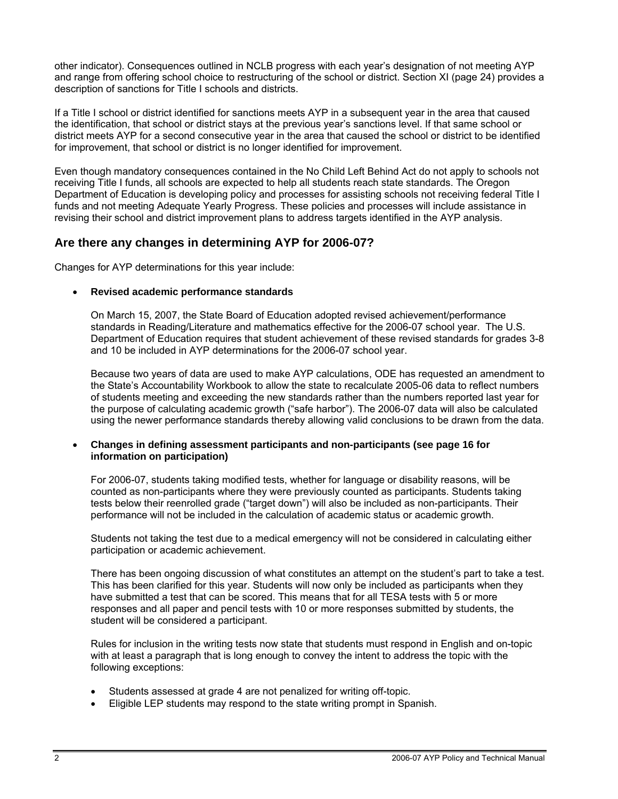other indicator). Consequences outlined in NCLB progress with each year's designation of not meeting AYP and range from offering school choice to restructuring of the school or district. Section XI (page 24) provides a description of sanctions for Title I schools and districts.

If a Title I school or district identified for sanctions meets AYP in a subsequent year in the area that caused the identification, that school or district stays at the previous year's sanctions level. If that same school or district meets AYP for a second consecutive year in the area that caused the school or district to be identified for improvement, that school or district is no longer identified for improvement.

Even though mandatory consequences contained in the No Child Left Behind Act do not apply to schools not receiving Title I funds, all schools are expected to help all students reach state standards. The Oregon Department of Education is developing policy and processes for assisting schools not receiving federal Title I funds and not meeting Adequate Yearly Progress. These policies and processes will include assistance in revising their school and district improvement plans to address targets identified in the AYP analysis.

#### **Are there any changes in determining AYP for 2006-07?**

Changes for AYP determinations for this year include:

#### • **Revised academic performance standards**

On March 15, 2007, the State Board of Education adopted revised achievement/performance standards in Reading/Literature and mathematics effective for the 2006-07 school year. The U.S. Department of Education requires that student achievement of these revised standards for grades 3-8 and 10 be included in AYP determinations for the 2006-07 school year.

Because two years of data are used to make AYP calculations, ODE has requested an amendment to the State's Accountability Workbook to allow the state to recalculate 2005-06 data to reflect numbers of students meeting and exceeding the new standards rather than the numbers reported last year for the purpose of calculating academic growth ("safe harbor"). The 2006-07 data will also be calculated using the newer performance standards thereby allowing valid conclusions to be drawn from the data.

#### • **Changes in defining assessment participants and non-participants (see page 16 for information on participation)**

For 2006-07, students taking modified tests, whether for language or disability reasons, will be counted as non-participants where they were previously counted as participants. Students taking tests below their reenrolled grade ("target down") will also be included as non-participants. Their performance will not be included in the calculation of academic status or academic growth.

Students not taking the test due to a medical emergency will not be considered in calculating either participation or academic achievement.

There has been ongoing discussion of what constitutes an attempt on the student's part to take a test. This has been clarified for this year. Students will now only be included as participants when they have submitted a test that can be scored. This means that for all TESA tests with 5 or more responses and all paper and pencil tests with 10 or more responses submitted by students, the student will be considered a participant.

Rules for inclusion in the writing tests now state that students must respond in English and on-topic with at least a paragraph that is long enough to convey the intent to address the topic with the following exceptions:

- Students assessed at grade 4 are not penalized for writing off-topic.
- Eligible LEP students may respond to the state writing prompt in Spanish.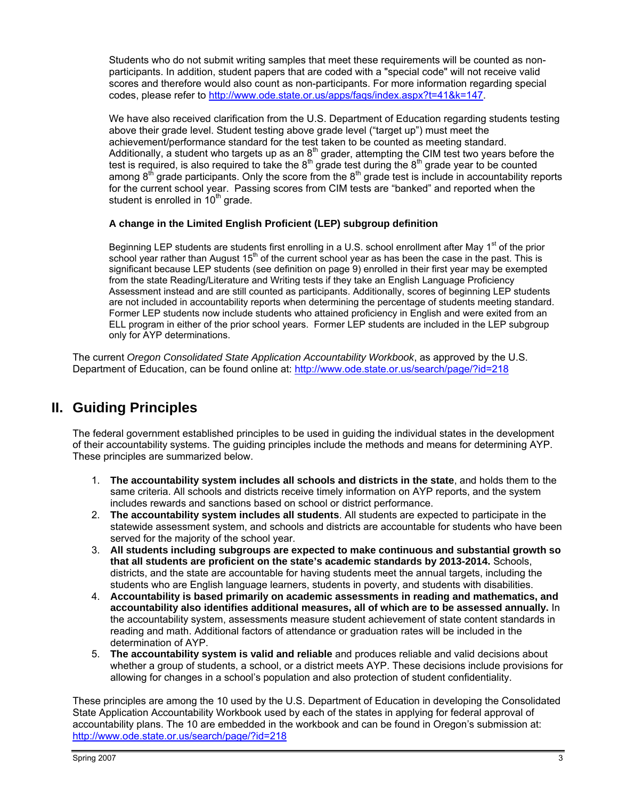Students who do not submit writing samples that meet these requirements will be counted as nonparticipants. In addition, student papers that are coded with a "special code" will not receive valid scores and therefore would also count as non-participants. For more information regarding special codes, please refer to http://www.ode.state.or.us/apps/faqs/index.aspx?t=41&k=147.

We have also received clarification from the U.S. Department of Education regarding students testing above their grade level. Student testing above grade level ("target up") must meet the achievement/performance standard for the test taken to be counted as meeting standard. Additionally, a student who targets up as an  $8<sup>th</sup>$  grader, attempting the CIM test two years before the test is required, is also required to take the  $8<sup>th</sup>$  grade test during the  $8<sup>th</sup>$  grade year to be counted among  $8<sup>th</sup>$  grade participants. Only the score from the  $8<sup>th</sup>$  grade test is include in accountability reports for the current school year. Passing scores from CIM tests are "banked" and reported when the student is enrolled in  $10<sup>th</sup>$  grade.

#### **A change in the Limited English Proficient (LEP) subgroup definition**

Beginning LEP students are students first enrolling in a U.S. school enrollment after May 1<sup>st</sup> of the prior school year rather than August 15<sup>th</sup> of the current school year as has been the case in the past. This is significant because LEP students (see definition on page 9) enrolled in their first year may be exempted from the state Reading/Literature and Writing tests if they take an English Language Proficiency Assessment instead and are still counted as participants. Additionally, scores of beginning LEP students are not included in accountability reports when determining the percentage of students meeting standard. Former LEP students now include students who attained proficiency in English and were exited from an ELL program in either of the prior school years. Former LEP students are included in the LEP subgroup only for AYP determinations.

The current *Oregon Consolidated State Application Accountability Workbook*, as approved by the U.S. Department of Education, can be found online at: http://www.ode.state.or.us/search/page/?id=218

## **II. Guiding Principles**

The federal government established principles to be used in guiding the individual states in the development of their accountability systems. The guiding principles include the methods and means for determining AYP. These principles are summarized below.

- 1. **The accountability system includes all schools and districts in the state**, and holds them to the same criteria. All schools and districts receive timely information on AYP reports, and the system includes rewards and sanctions based on school or district performance.
- 2. **The accountability system includes all students**. All students are expected to participate in the statewide assessment system, and schools and districts are accountable for students who have been served for the majority of the school year.
- 3. **All students including subgroups are expected to make continuous and substantial growth so that all students are proficient on the state's academic standards by 2013-2014.** Schools, districts, and the state are accountable for having students meet the annual targets, including the students who are English language learners, students in poverty, and students with disabilities.
- 4. **Accountability is based primarily on academic assessments in reading and mathematics, and accountability also identifies additional measures, all of which are to be assessed annually.** In the accountability system, assessments measure student achievement of state content standards in reading and math. Additional factors of attendance or graduation rates will be included in the determination of AYP.
- 5. **The accountability system is valid and reliable** and produces reliable and valid decisions about whether a group of students, a school, or a district meets AYP. These decisions include provisions for allowing for changes in a school's population and also protection of student confidentiality.

These principles are among the 10 used by the U.S. Department of Education in developing the Consolidated State Application Accountability Workbook used by each of the states in applying for federal approval of accountability plans. The 10 are embedded in the workbook and can be found in Oregon's submission at: http://www.ode.state.or.us/search/page/?id=218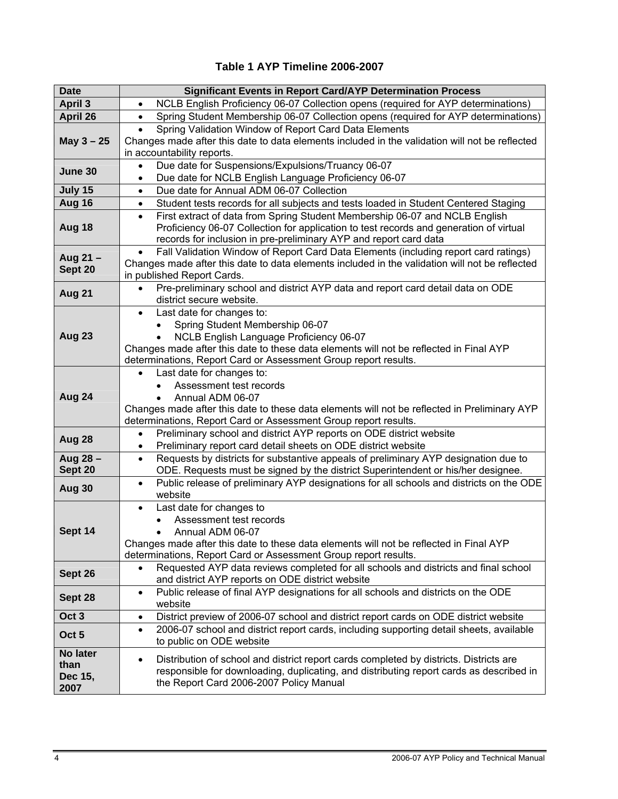#### **Table 1 AYP Timeline 2006-2007**

| <b>Date</b>      | <b>Significant Events in Report Card/AYP Determination Process</b>                                                                                                                             |
|------------------|------------------------------------------------------------------------------------------------------------------------------------------------------------------------------------------------|
| <b>April 3</b>   | NCLB English Proficiency 06-07 Collection opens (required for AYP determinations)<br>$\bullet$                                                                                                 |
| April 26         | Spring Student Membership 06-07 Collection opens (required for AYP determinations)<br>$\bullet$                                                                                                |
|                  | Spring Validation Window of Report Card Data Elements<br>$\bullet$                                                                                                                             |
| May $3 - 25$     | Changes made after this date to data elements included in the validation will not be reflected                                                                                                 |
|                  | in accountability reports.                                                                                                                                                                     |
| June 30          | Due date for Suspensions/Expulsions/Truancy 06-07<br>$\bullet$                                                                                                                                 |
|                  | Due date for NCLB English Language Proficiency 06-07<br>$\bullet$                                                                                                                              |
| July 15          | Due date for Annual ADM 06-07 Collection<br>$\bullet$                                                                                                                                          |
| Aug 16           | Student tests records for all subjects and tests loaded in Student Centered Staging<br>٠                                                                                                       |
|                  | First extract of data from Spring Student Membership 06-07 and NCLB English<br>$\bullet$                                                                                                       |
| Aug 18           | Proficiency 06-07 Collection for application to test records and generation of virtual                                                                                                         |
|                  | records for inclusion in pre-preliminary AYP and report card data                                                                                                                              |
| Aug 21-          | Fall Validation Window of Report Card Data Elements (including report card ratings)                                                                                                            |
| Sept 20          | Changes made after this date to data elements included in the validation will not be reflected<br>in published Report Cards.                                                                   |
|                  | Pre-preliminary school and district AYP data and report card detail data on ODE                                                                                                                |
| <b>Aug 21</b>    | district secure website.                                                                                                                                                                       |
|                  | Last date for changes to:<br>$\bullet$                                                                                                                                                         |
|                  | Spring Student Membership 06-07                                                                                                                                                                |
| Aug 23           | NCLB English Language Proficiency 06-07                                                                                                                                                        |
|                  | Changes made after this date to these data elements will not be reflected in Final AYP                                                                                                         |
|                  | determinations, Report Card or Assessment Group report results.                                                                                                                                |
|                  | Last date for changes to:<br>$\bullet$                                                                                                                                                         |
|                  | Assessment test records                                                                                                                                                                        |
| Aug 24           | Annual ADM 06-07<br>$\bullet$                                                                                                                                                                  |
|                  | Changes made after this date to these data elements will not be reflected in Preliminary AYP                                                                                                   |
|                  | determinations, Report Card or Assessment Group report results.                                                                                                                                |
| Aug 28           | Preliminary school and district AYP reports on ODE district website<br>$\bullet$<br>Preliminary report card detail sheets on ODE district website                                              |
| Aug 28 -         | ٠<br>Requests by districts for substantive appeals of preliminary AYP designation due to<br>$\bullet$                                                                                          |
| Sept 20          | ODE. Requests must be signed by the district Superintendent or his/her designee.                                                                                                               |
|                  | Public release of preliminary AYP designations for all schools and districts on the ODE<br>$\bullet$                                                                                           |
| Aug 30           | website                                                                                                                                                                                        |
|                  | Last date for changes to<br>٠                                                                                                                                                                  |
|                  | Assessment test records                                                                                                                                                                        |
| Sept 14          | Annual ADM 06-07                                                                                                                                                                               |
|                  | Changes made after this date to these data elements will not be reflected in Final AYP                                                                                                         |
|                  | determinations, Report Card or Assessment Group report results.                                                                                                                                |
| Sept 26          | Requested AYP data reviews completed for all schools and districts and final school                                                                                                            |
|                  | and district AYP reports on ODE district website                                                                                                                                               |
| Sept 28          | Public release of final AYP designations for all schools and districts on the ODE<br>$\bullet$                                                                                                 |
| Oct <sub>3</sub> | website<br>District preview of 2006-07 school and district report cards on ODE district website<br>٠                                                                                           |
|                  | 2006-07 school and district report cards, including supporting detail sheets, available<br>$\bullet$                                                                                           |
| Oct <sub>5</sub> | to public on ODE website                                                                                                                                                                       |
| No later         |                                                                                                                                                                                                |
| than             | Distribution of school and district report cards completed by districts. Districts are<br>$\bullet$<br>responsible for downloading, duplicating, and distributing report cards as described in |
| Dec 15,          | the Report Card 2006-2007 Policy Manual                                                                                                                                                        |
| 2007             |                                                                                                                                                                                                |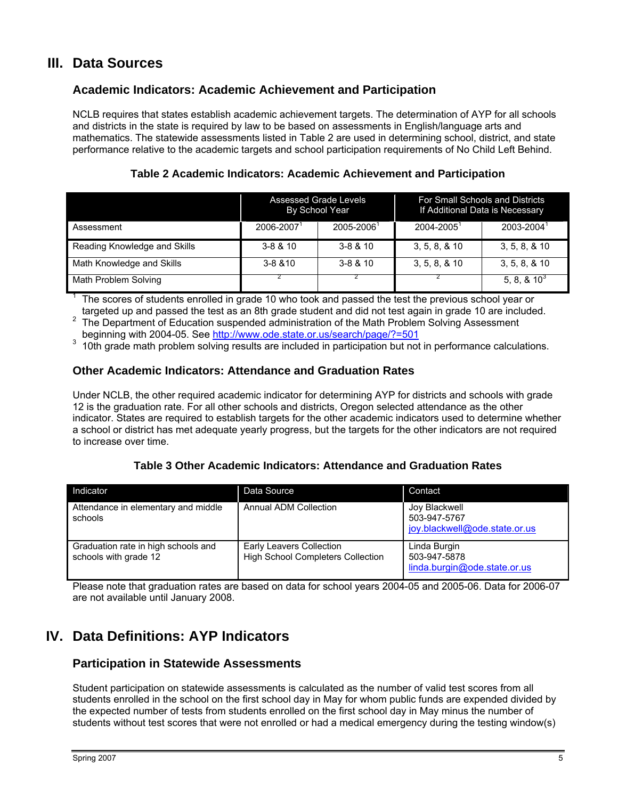## **III. Data Sources**

1

#### **Academic Indicators: Academic Achievement and Participation**

NCLB requires that states establish academic achievement targets. The determination of AYP for all schools and districts in the state is required by law to be based on assessments in English/language arts and mathematics. The statewide assessments listed in Table 2 are used in determining school, district, and state performance relative to the academic targets and school participation requirements of No Child Left Behind.

**Table 2 Academic Indicators: Academic Achievement and Participation** 

|                              | Assessed Grade Levels<br>By School Year |              | For Small Schools and Districts<br>If Additional Data is Necessary |                   |
|------------------------------|-----------------------------------------|--------------|--------------------------------------------------------------------|-------------------|
| Assessment                   | 2006-2007                               | 2005-2006    | $2004 - 2005$                                                      | 2003-2004         |
| Reading Knowledge and Skills | $3 - 8 & 10$                            | $3 - 8 & 10$ | 3, 5, 8, 8, 10                                                     | 3, 5, 8, 8, 10    |
| Math Knowledge and Skills    | $3 - 8 & 810$                           | $3 - 8 & 10$ | 3, 5, 8, 8, 10                                                     | 3, 5, 8, 8, 10    |
| Math Problem Solving         |                                         |              |                                                                    | 5, 8, $8, 10^{3}$ |

 The scores of students enrolled in grade 10 who took and passed the test the previous school year or targeted up and passed the test as an 8th grade student and did not test again in grade 10 are included.

The Department of Education suspended administration of the Math Problem Solving Assessment beginning with 2004-05. See http://www.ode.state.or.us/search/page/?=501

beginning with 2004-05. See <u>http://www.ode.state.or.us/search/page/?=501</u><br>3 10th grade math problem solving results are included in participation but not in performance calculations.

#### **Other Academic Indicators: Attendance and Graduation Rates**

Under NCLB, the other required academic indicator for determining AYP for districts and schools with grade 12 is the graduation rate. For all other schools and districts, Oregon selected attendance as the other indicator. States are required to establish targets for the other academic indicators used to determine whether a school or district has met adequate yearly progress, but the targets for the other indicators are not required to increase over time.

#### **Table 3 Other Academic Indicators: Attendance and Graduation Rates**

| Indicator                                                    | Data Source                                                          | Contact                                                        |
|--------------------------------------------------------------|----------------------------------------------------------------------|----------------------------------------------------------------|
| Attendance in elementary and middle<br>schools               | <b>Annual ADM Collection</b>                                         | Joy Blackwell<br>503-947-5767<br>joy.blackwell@ode.state.or.us |
| Graduation rate in high schools and<br>schools with grade 12 | Early Leavers Collection<br><b>High School Completers Collection</b> | Linda Burgin<br>503-947-5878<br>linda.burgin@ode.state.or.us   |

Please note that graduation rates are based on data for school years 2004-05 and 2005-06. Data for 2006-07 are not available until January 2008.

## **IV. Data Definitions: AYP Indicators**

#### **Participation in Statewide Assessments**

Student participation on statewide assessments is calculated as the number of valid test scores from all students enrolled in the school on the first school day in May for whom public funds are expended divided by the expected number of tests from students enrolled on the first school day in May minus the number of students without test scores that were not enrolled or had a medical emergency during the testing window(s)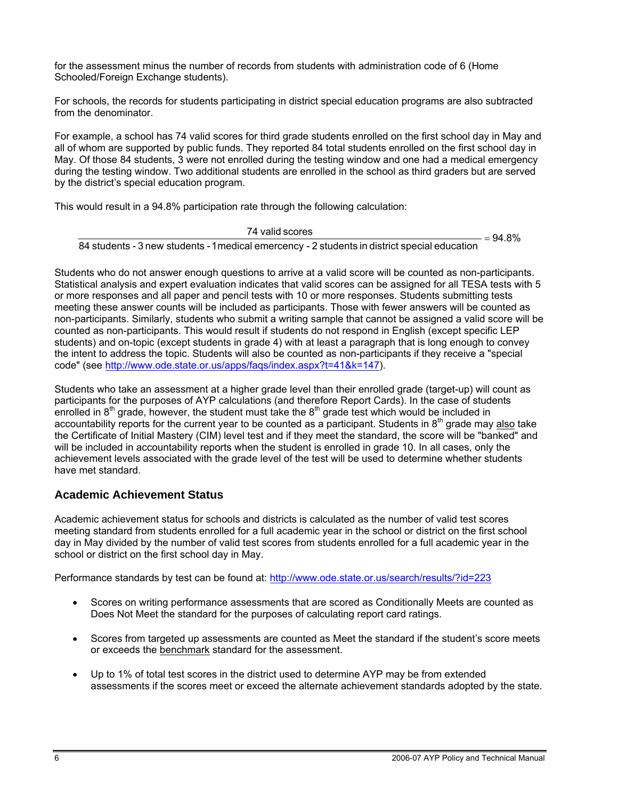for the assessment minus the number of records from students with administration code of 6 (Home Schooled/Foreign Exchange students).

For schools, the records for students participating in district special education programs are also subtracted from the denominator.

For example, a school has 74 valid scores for third grade students enrolled on the first school day in May and all of whom are supported by public funds. They reported 84 total students enrolled on the first school day in May. Of those 84 students, 3 were not enrolled during the testing window and one had a medical emergency during the testing window. Two additional students are enrolled in the school as third graders but are served by the district's special education program.

This would result in a 94.8% participation rate through the following calculation:

 $=94.8%$ 84 students - 3 new students -1medical emercency - 2 students in district special education  $\frac{74 \text{ valid scores}}{24 \text{ rad/s} + 1.4 \text{ rad/s} + 1.4 \text{ rad/s}} =$ 

Students who do not answer enough questions to arrive at a valid score will be counted as non-participants. Statistical analysis and expert evaluation indicates that valid scores can be assigned for all TESA tests with 5 or more responses and all paper and pencil tests with 10 or more responses. Students submitting tests meeting these answer counts will be included as participants. Those with fewer answers will be counted as non-participants. Similarly, students who submit a writing sample that cannot be assigned a valid score will be counted as non-participants. This would result if students do not respond in English (except specific LEP students) and on-topic (except students in grade 4) with at least a paragraph that is long enough to convey the intent to address the topic. Students will also be counted as non-participants if they receive a "special code" (see http://www.ode.state.or.us/apps/faqs/index.aspx?t=41&k=147).

Students who take an assessment at a higher grade level than their enrolled grade (target-up) will count as participants for the purposes of AYP calculations (and therefore Report Cards). In the case of students enrolled in  $8<sup>th</sup>$  grade, however, the student must take the  $8<sup>th</sup>$  grade test which would be included in accountability reports for the current year to be counted as a participant. Students in  $8<sup>th</sup>$  grade may also take the Certificate of Initial Mastery (CIM) level test and if they meet the standard, the score will be "banked" and will be included in accountability reports when the student is enrolled in grade 10. In all cases, only the achievement levels associated with the grade level of the test will be used to determine whether students have met standard.

#### **Academic Achievement Status**

Academic achievement status for schools and districts is calculated as the number of valid test scores meeting standard from students enrolled for a full academic year in the school or district on the first school day in May divided by the number of valid test scores from students enrolled for a full academic year in the school or district on the first school day in May.

Performance standards by test can be found at: http://www.ode.state.or.us/search/results/?id=223

- Scores on writing performance assessments that are scored as Conditionally Meets are counted as Does Not Meet the standard for the purposes of calculating report card ratings.
- Scores from targeted up assessments are counted as Meet the standard if the student's score meets or exceeds the benchmark standard for the assessment.
- Up to 1% of total test scores in the district used to determine AYP may be from extended assessments if the scores meet or exceed the alternate achievement standards adopted by the state.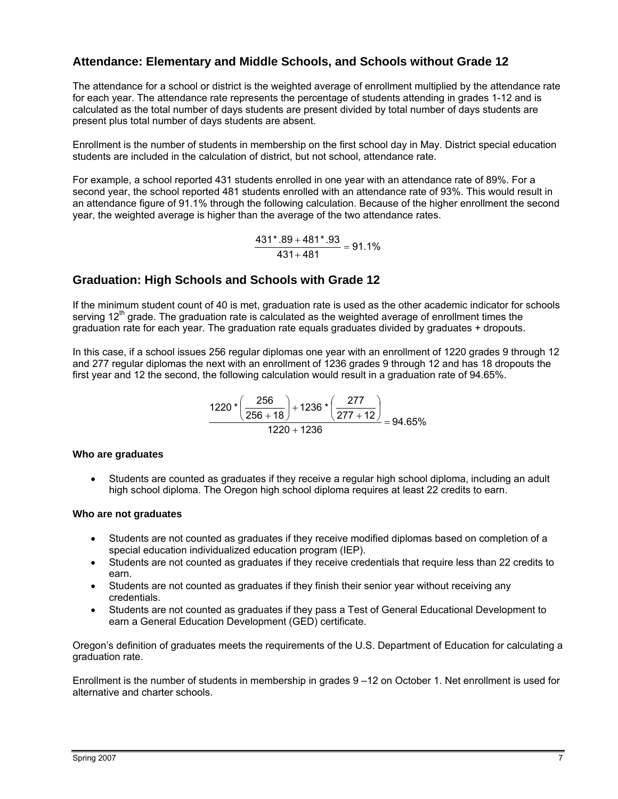#### **Attendance: Elementary and Middle Schools, and Schools without Grade 12**

The attendance for a school or district is the weighted average of enrollment multiplied by the attendance rate for each year. The attendance rate represents the percentage of students attending in grades 1-12 and is calculated as the total number of days students are present divided by total number of days students are present plus total number of days students are absent.

Enrollment is the number of students in membership on the first school day in May. District special education students are included in the calculation of district, but not school, attendance rate.

For example, a school reported 431 students enrolled in one year with an attendance rate of 89%. For a second year, the school reported 481 students enrolled with an attendance rate of 93%. This would result in an attendance figure of 91.1% through the following calculation. Because of the higher enrollment the second year, the weighted average is higher than the average of the two attendance rates.

 $\frac{431^{*}.89 + 481^{*}.93}{431 + 481} = 91.1\%$ 

#### **Graduation: High Schools and Schools with Grade 12**

If the minimum student count of 40 is met, graduation rate is used as the other academic indicator for schools serving  $12<sup>th</sup>$  grade. The graduation rate is calculated as the weighted average of enrollment times the graduation rate for each year. The graduation rate equals graduates divided by graduates + dropouts.

In this case, if a school issues 256 regular diplomas one year with an enrollment of 1220 grades 9 through 12 and 277 regular diplomas the next with an enrollment of 1236 grades 9 through 12 and has 18 dropouts the first year and 12 the second, the following calculation would result in a graduation rate of 94.65%.

$$
\frac{1220 \times \left(\frac{256}{256+18}\right) + 1236 \times \left(\frac{277}{277+12}\right)}{1220+1236} = 94.65\%
$$

#### **Who are graduates**

• Students are counted as graduates if they receive a regular high school diploma, including an adult high school diploma. The Oregon high school diploma requires at least 22 credits to earn.

#### **Who are not graduates**

- Students are not counted as graduates if they receive modified diplomas based on completion of a special education individualized education program (IEP).
- Students are not counted as graduates if they receive credentials that require less than 22 credits to earn.
- Students are not counted as graduates if they finish their senior year without receiving any credentials.
- Students are not counted as graduates if they pass a Test of General Educational Development to earn a General Education Development (GED) certificate.

Oregon's definition of graduates meets the requirements of the U.S. Department of Education for calculating a graduation rate.

Enrollment is the number of students in membership in grades 9 –12 on October 1. Net enrollment is used for alternative and charter schools.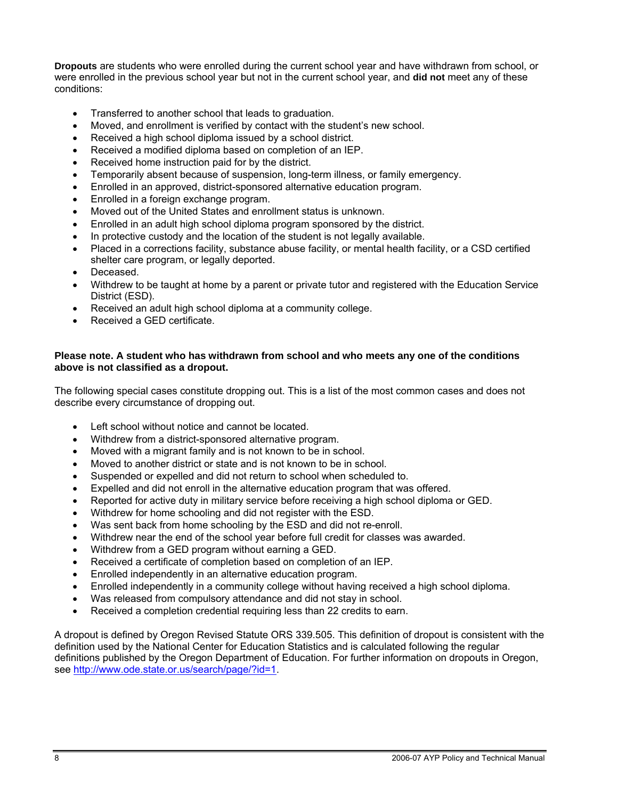**Dropouts** are students who were enrolled during the current school year and have withdrawn from school, or were enrolled in the previous school year but not in the current school year, and **did not** meet any of these conditions:

- Transferred to another school that leads to graduation.
- Moved, and enrollment is verified by contact with the student's new school.
- Received a high school diploma issued by a school district.
- Received a modified diploma based on completion of an IEP.
- Received home instruction paid for by the district.
- Temporarily absent because of suspension, long-term illness, or family emergency.
- Enrolled in an approved, district-sponsored alternative education program.
- Enrolled in a foreign exchange program.
- Moved out of the United States and enrollment status is unknown.
- Enrolled in an adult high school diploma program sponsored by the district.
- In protective custody and the location of the student is not legally available.
- Placed in a corrections facility, substance abuse facility, or mental health facility, or a CSD certified shelter care program, or legally deported.
- Deceased.
- Withdrew to be taught at home by a parent or private tutor and registered with the Education Service District (ESD).
- Received an adult high school diploma at a community college.
- Received a GED certificate.

#### **Please note. A student who has withdrawn from school and who meets any one of the conditions above is not classified as a dropout.**

The following special cases constitute dropping out. This is a list of the most common cases and does not describe every circumstance of dropping out.

- Left school without notice and cannot be located.
- Withdrew from a district-sponsored alternative program.
- Moved with a migrant family and is not known to be in school.
- Moved to another district or state and is not known to be in school.
- Suspended or expelled and did not return to school when scheduled to.
- Expelled and did not enroll in the alternative education program that was offered.
- Reported for active duty in military service before receiving a high school diploma or GED.
- Withdrew for home schooling and did not register with the ESD.
- Was sent back from home schooling by the ESD and did not re-enroll.
- Withdrew near the end of the school year before full credit for classes was awarded.
- Withdrew from a GED program without earning a GED.
- Received a certificate of completion based on completion of an IEP.
- Enrolled independently in an alternative education program.
- Enrolled independently in a community college without having received a high school diploma.
- Was released from compulsory attendance and did not stay in school.
- Received a completion credential requiring less than 22 credits to earn.

A dropout is defined by Oregon Revised Statute ORS 339.505. This definition of dropout is consistent with the definition used by the National Center for Education Statistics and is calculated following the regular definitions published by the Oregon Department of Education. For further information on dropouts in Oregon, see http://www.ode.state.or.us/search/page/?id=1.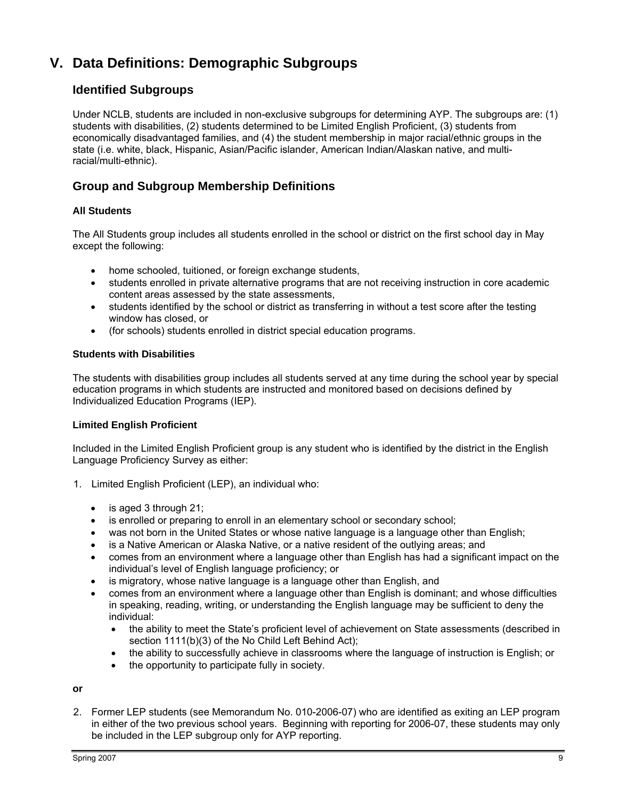## **V. Data Definitions: Demographic Subgroups**

#### **Identified Subgroups**

Under NCLB, students are included in non-exclusive subgroups for determining AYP. The subgroups are: (1) students with disabilities, (2) students determined to be Limited English Proficient, (3) students from economically disadvantaged families, and (4) the student membership in major racial/ethnic groups in the state (i.e. white, black, Hispanic, Asian/Pacific islander, American Indian/Alaskan native, and multiracial/multi-ethnic).

#### **Group and Subgroup Membership Definitions**

#### **All Students**

The All Students group includes all students enrolled in the school or district on the first school day in May except the following:

- home schooled, tuitioned, or foreign exchange students,
- students enrolled in private alternative programs that are not receiving instruction in core academic content areas assessed by the state assessments,
- students identified by the school or district as transferring in without a test score after the testing window has closed, or
- (for schools) students enrolled in district special education programs.

#### **Students with Disabilities**

The students with disabilities group includes all students served at any time during the school year by special education programs in which students are instructed and monitored based on decisions defined by Individualized Education Programs (IEP).

#### **Limited English Proficient**

Included in the Limited English Proficient group is any student who is identified by the district in the English Language Proficiency Survey as either:

- 1. Limited English Proficient (LEP), an individual who:
	- is aged 3 through 21;
	- is enrolled or preparing to enroll in an elementary school or secondary school;
	- was not born in the United States or whose native language is a language other than English;
	- is a Native American or Alaska Native, or a native resident of the outlying areas; and
	- comes from an environment where a language other than English has had a significant impact on the individual's level of English language proficiency; or
	- is migratory, whose native language is a language other than English, and
	- comes from an environment where a language other than English is dominant; and whose difficulties in speaking, reading, writing, or understanding the English language may be sufficient to deny the individual:
		- the ability to meet the State's proficient level of achievement on State assessments (described in section 1111(b)(3) of the No Child Left Behind Act);
		- the ability to successfully achieve in classrooms where the language of instruction is English; or
		- the opportunity to participate fully in society.

#### **or**

2. Former LEP students (see Memorandum No. 010-2006-07) who are identified as exiting an LEP program in either of the two previous school years. Beginning with reporting for 2006-07, these students may only be included in the LEP subgroup only for AYP reporting.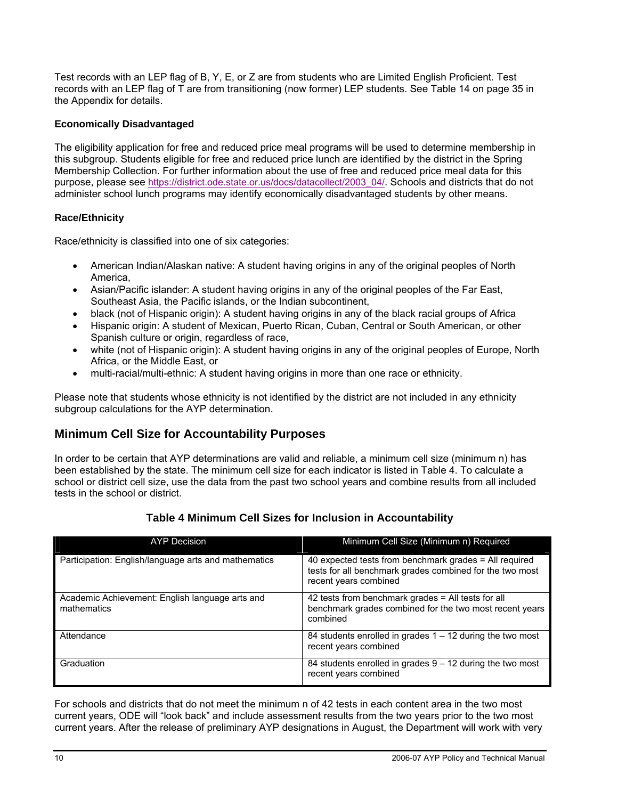Test records with an LEP flag of B, Y, E, or Z are from students who are Limited English Proficient. Test records with an LEP flag of T are from transitioning (now former) LEP students. See Table 14 on page 35 in the Appendix for details.

#### **Economically Disadvantaged**

The eligibility application for free and reduced price meal programs will be used to determine membership in this subgroup. Students eligible for free and reduced price lunch are identified by the district in the Spring Membership Collection. For further information about the use of free and reduced price meal data for this purpose, please see https://district.ode.state.or.us/docs/datacollect/2003\_04/. Schools and districts that do not administer school lunch programs may identify economically disadvantaged students by other means.

#### **Race/Ethnicity**

Race/ethnicity is classified into one of six categories:

- American Indian/Alaskan native: A student having origins in any of the original peoples of North America,
- Asian/Pacific islander: A student having origins in any of the original peoples of the Far East, Southeast Asia, the Pacific islands, or the Indian subcontinent,
- black (not of Hispanic origin): A student having origins in any of the black racial groups of Africa
- Hispanic origin: A student of Mexican, Puerto Rican, Cuban, Central or South American, or other Spanish culture or origin, regardless of race,
- white (not of Hispanic origin): A student having origins in any of the original peoples of Europe, North Africa, or the Middle East, or
- multi-racial/multi-ethnic: A student having origins in more than one race or ethnicity.

Please note that students whose ethnicity is not identified by the district are not included in any ethnicity subgroup calculations for the AYP determination.

#### **Minimum Cell Size for Accountability Purposes**

In order to be certain that AYP determinations are valid and reliable, a minimum cell size (minimum n) has been established by the state. The minimum cell size for each indicator is listed in Table 4. To calculate a school or district cell size, use the data from the past two school years and combine results from all included tests in the school or district.

| <b>AYP Decision</b>                                            | Minimum Cell Size (Minimum n) Required                                                                                                      |
|----------------------------------------------------------------|---------------------------------------------------------------------------------------------------------------------------------------------|
| Participation: English/language arts and mathematics           | 40 expected tests from benchmark grades = All required<br>tests for all benchmark grades combined for the two most<br>recent years combined |
| Academic Achievement: English language arts and<br>mathematics | 42 tests from benchmark grades = All tests for all<br>benchmark grades combined for the two most recent years<br>combined                   |
| Attendance                                                     | 84 students enrolled in grades $1 - 12$ during the two most<br>recent years combined                                                        |
| Graduation                                                     | 84 students enrolled in grades $9 - 12$ during the two most<br>recent years combined                                                        |

#### **Table 4 Minimum Cell Sizes for Inclusion in Accountability**

For schools and districts that do not meet the minimum n of 42 tests in each content area in the two most current years, ODE will "look back" and include assessment results from the two years prior to the two most current years. After the release of preliminary AYP designations in August, the Department will work with very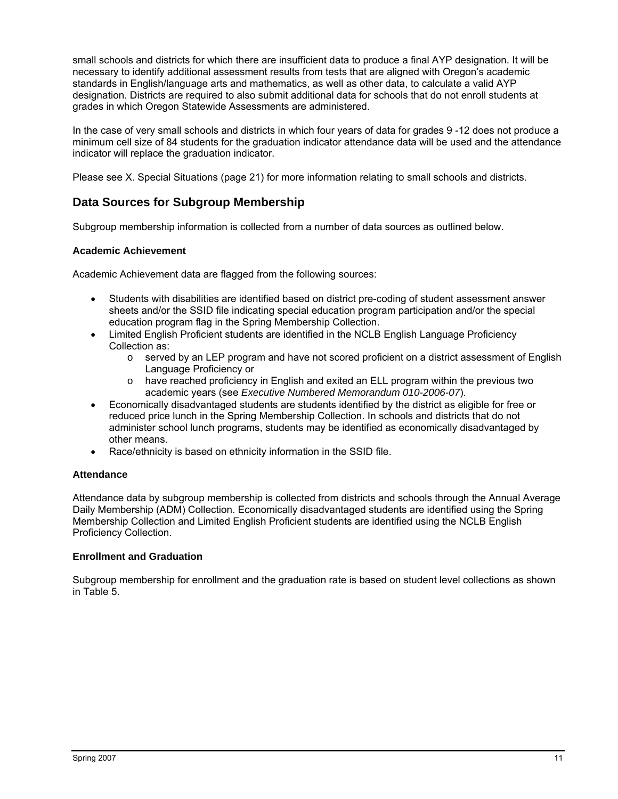small schools and districts for which there are insufficient data to produce a final AYP designation. It will be necessary to identify additional assessment results from tests that are aligned with Oregon's academic standards in English/language arts and mathematics, as well as other data, to calculate a valid AYP designation. Districts are required to also submit additional data for schools that do not enroll students at grades in which Oregon Statewide Assessments are administered.

In the case of very small schools and districts in which four years of data for grades 9 -12 does not produce a minimum cell size of 84 students for the graduation indicator attendance data will be used and the attendance indicator will replace the graduation indicator.

Please see X. Special Situations (page 21) for more information relating to small schools and districts.

#### **Data Sources for Subgroup Membership**

Subgroup membership information is collected from a number of data sources as outlined below.

#### **Academic Achievement**

Academic Achievement data are flagged from the following sources:

- Students with disabilities are identified based on district pre-coding of student assessment answer sheets and/or the SSID file indicating special education program participation and/or the special education program flag in the Spring Membership Collection.
- Limited English Proficient students are identified in the NCLB English Language Proficiency Collection as:
	- $\circ$  served by an LEP program and have not scored proficient on a district assessment of English Language Proficiency or
	- $\circ$  have reached proficiency in English and exited an ELL program within the previous two academic years (see *Executive Numbered Memorandum 010-2006-07*).
- Economically disadvantaged students are students identified by the district as eligible for free or reduced price lunch in the Spring Membership Collection. In schools and districts that do not administer school lunch programs, students may be identified as economically disadvantaged by other means.
- Race/ethnicity is based on ethnicity information in the SSID file.

#### **Attendance**

Attendance data by subgroup membership is collected from districts and schools through the Annual Average Daily Membership (ADM) Collection. Economically disadvantaged students are identified using the Spring Membership Collection and Limited English Proficient students are identified using the NCLB English Proficiency Collection.

#### **Enrollment and Graduation**

Subgroup membership for enrollment and the graduation rate is based on student level collections as shown in Table 5.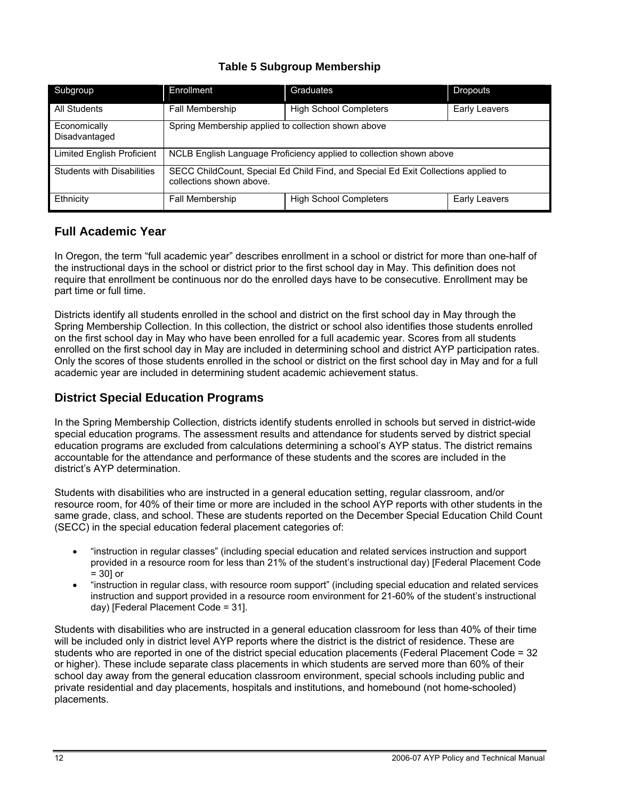#### **Table 5 Subgroup Membership**

| Subgroup                                                                             | Enrollment                                                                                                     | Graduates                     | <b>Dropouts</b> |  |
|--------------------------------------------------------------------------------------|----------------------------------------------------------------------------------------------------------------|-------------------------------|-----------------|--|
| All Students                                                                         | <b>Fall Membership</b>                                                                                         | <b>High School Completers</b> | Early Leavers   |  |
| Spring Membership applied to collection shown above<br>Economically<br>Disadvantaged |                                                                                                                |                               |                 |  |
| Limited English Proficient                                                           | NCLB English Language Proficiency applied to collection shown above                                            |                               |                 |  |
| <b>Students with Disabilities</b>                                                    | SECC ChildCount, Special Ed Child Find, and Special Ed Exit Collections applied to<br>collections shown above. |                               |                 |  |
| Ethnicity                                                                            | Fall Membership                                                                                                | <b>High School Completers</b> | Early Leavers   |  |

#### **Full Academic Year**

In Oregon, the term "full academic year" describes enrollment in a school or district for more than one-half of the instructional days in the school or district prior to the first school day in May. This definition does not require that enrollment be continuous nor do the enrolled days have to be consecutive. Enrollment may be part time or full time.

Districts identify all students enrolled in the school and district on the first school day in May through the Spring Membership Collection. In this collection, the district or school also identifies those students enrolled on the first school day in May who have been enrolled for a full academic year. Scores from all students enrolled on the first school day in May are included in determining school and district AYP participation rates. Only the scores of those students enrolled in the school or district on the first school day in May and for a full academic year are included in determining student academic achievement status.

#### **District Special Education Programs**

In the Spring Membership Collection, districts identify students enrolled in schools but served in district-wide special education programs. The assessment results and attendance for students served by district special education programs are excluded from calculations determining a school's AYP status. The district remains accountable for the attendance and performance of these students and the scores are included in the district's AYP determination.

Students with disabilities who are instructed in a general education setting, regular classroom, and/or resource room, for 40% of their time or more are included in the school AYP reports with other students in the same grade, class, and school. These are students reported on the December Special Education Child Count (SECC) in the special education federal placement categories of:

- "instruction in regular classes" (including special education and related services instruction and support provided in a resource room for less than 21% of the student's instructional day) [Federal Placement Code  $= 301$  or
- "instruction in regular class, with resource room support" (including special education and related services instruction and support provided in a resource room environment for 21-60% of the student's instructional day) [Federal Placement Code = 31].

Students with disabilities who are instructed in a general education classroom for less than 40% of their time will be included only in district level AYP reports where the district is the district of residence. These are students who are reported in one of the district special education placements (Federal Placement Code = 32 or higher). These include separate class placements in which students are served more than 60% of their school day away from the general education classroom environment, special schools including public and private residential and day placements, hospitals and institutions, and homebound (not home-schooled) placements.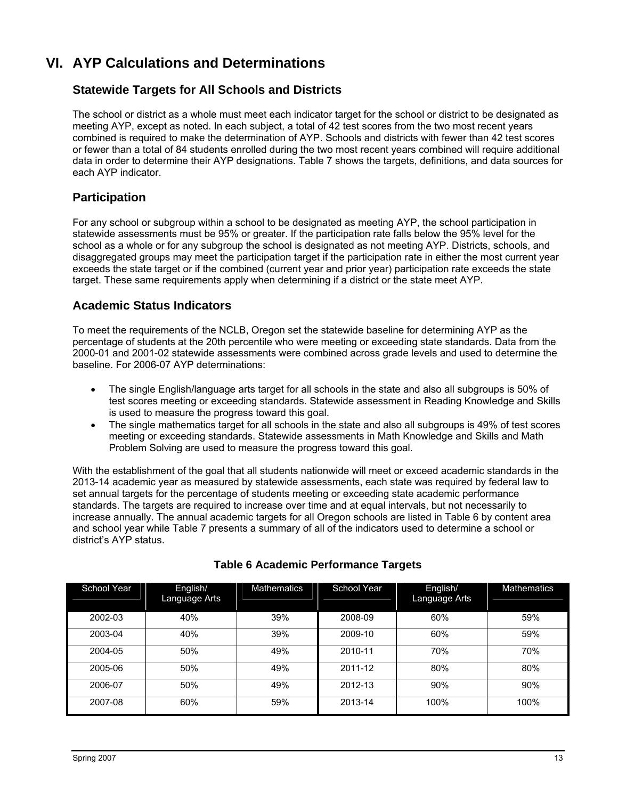## **VI. AYP Calculations and Determinations**

#### **Statewide Targets for All Schools and Districts**

The school or district as a whole must meet each indicator target for the school or district to be designated as meeting AYP, except as noted. In each subject, a total of 42 test scores from the two most recent years combined is required to make the determination of AYP. Schools and districts with fewer than 42 test scores or fewer than a total of 84 students enrolled during the two most recent years combined will require additional data in order to determine their AYP designations. Table 7 shows the targets, definitions, and data sources for each AYP indicator.

#### **Participation**

For any school or subgroup within a school to be designated as meeting AYP, the school participation in statewide assessments must be 95% or greater. If the participation rate falls below the 95% level for the school as a whole or for any subgroup the school is designated as not meeting AYP. Districts, schools, and disaggregated groups may meet the participation target if the participation rate in either the most current year exceeds the state target or if the combined (current year and prior year) participation rate exceeds the state target. These same requirements apply when determining if a district or the state meet AYP.

#### **Academic Status Indicators**

To meet the requirements of the NCLB, Oregon set the statewide baseline for determining AYP as the percentage of students at the 20th percentile who were meeting or exceeding state standards. Data from the 2000-01 and 2001-02 statewide assessments were combined across grade levels and used to determine the baseline. For 2006-07 AYP determinations:

- The single English/language arts target for all schools in the state and also all subgroups is 50% of test scores meeting or exceeding standards. Statewide assessment in Reading Knowledge and Skills is used to measure the progress toward this goal.
- The single mathematics target for all schools in the state and also all subgroups is 49% of test scores meeting or exceeding standards. Statewide assessments in Math Knowledge and Skills and Math Problem Solving are used to measure the progress toward this goal.

With the establishment of the goal that all students nationwide will meet or exceed academic standards in the 2013-14 academic year as measured by statewide assessments, each state was required by federal law to set annual targets for the percentage of students meeting or exceeding state academic performance standards. The targets are required to increase over time and at equal intervals, but not necessarily to increase annually. The annual academic targets for all Oregon schools are listed in Table 6 by content area and school year while Table 7 presents a summary of all of the indicators used to determine a school or district's AYP status.

| School Year | English/<br>Language Arts | <b>Mathematics</b> | School Year | English/<br>Language Arts | <b>Mathematics</b> |
|-------------|---------------------------|--------------------|-------------|---------------------------|--------------------|
| 2002-03     | 40%                       | 39%                | 2008-09     | 60%                       | 59%                |
| 2003-04     | 40%                       | 39%                | 2009-10     | 60%                       | 59%                |
| 2004-05     | 50%                       | 49%                | 2010-11     | 70%                       | 70%                |
| 2005-06     | 50%                       | 49%                | 2011-12     | 80%                       | 80%                |
| 2006-07     | 50%                       | 49%                | 2012-13     | 90%                       | 90%                |
| 2007-08     | 60%                       | 59%                | 2013-14     | 100%                      | 100%               |

#### **Table 6 Academic Performance Targets**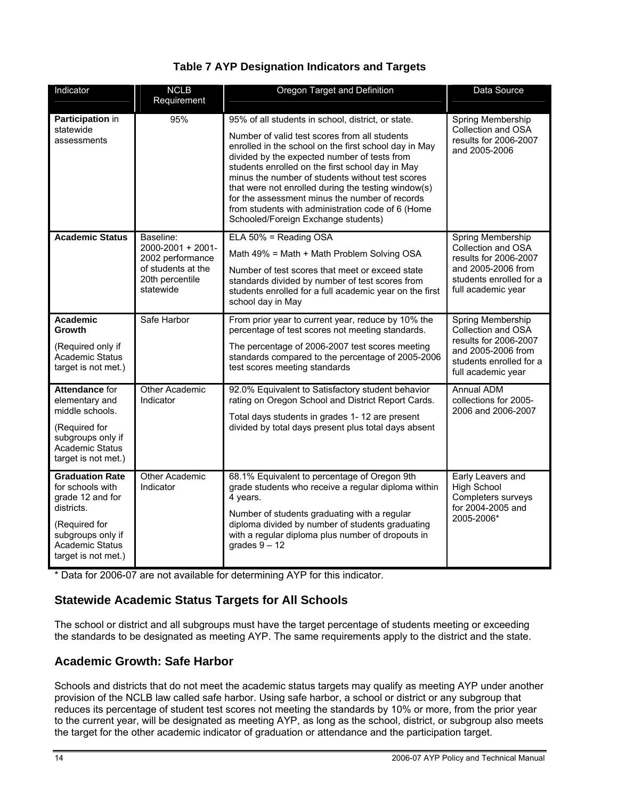|  |  | <b>Table 7 AYP Designation Indicators and Targets</b> |  |
|--|--|-------------------------------------------------------|--|
|--|--|-------------------------------------------------------|--|

| Indicator                                                                                                                                                           | <b>NCLB</b><br>Requirement                                                                               | Oregon Target and Definition                                                                                                                                                                                                                                                                                                                                                                                                                                                                                              | Data Source                                                                                                                             |
|---------------------------------------------------------------------------------------------------------------------------------------------------------------------|----------------------------------------------------------------------------------------------------------|---------------------------------------------------------------------------------------------------------------------------------------------------------------------------------------------------------------------------------------------------------------------------------------------------------------------------------------------------------------------------------------------------------------------------------------------------------------------------------------------------------------------------|-----------------------------------------------------------------------------------------------------------------------------------------|
| Participation in<br>statewide<br>assessments                                                                                                                        | 95%                                                                                                      | 95% of all students in school, district, or state.<br>Number of valid test scores from all students<br>enrolled in the school on the first school day in May<br>divided by the expected number of tests from<br>students enrolled on the first school day in May<br>minus the number of students without test scores<br>that were not enrolled during the testing window(s)<br>for the assessment minus the number of records<br>from students with administration code of 6 (Home<br>Schooled/Foreign Exchange students) | Spring Membership<br>Collection and OSA<br>results for 2006-2007<br>and 2005-2006                                                       |
| <b>Academic Status</b>                                                                                                                                              | Baseline:<br>2000-2001 + 2001-<br>2002 performance<br>of students at the<br>20th percentile<br>statewide | ELA 50% = Reading OSA<br>Math 49% = Math + Math Problem Solving OSA<br>Number of test scores that meet or exceed state<br>standards divided by number of test scores from<br>students enrolled for a full academic year on the first<br>school day in May                                                                                                                                                                                                                                                                 | Spring Membership<br>Collection and OSA<br>results for 2006-2007<br>and 2005-2006 from<br>students enrolled for a<br>full academic year |
| <b>Academic</b><br>Growth<br>(Required only if<br>Academic Status<br>target is not met.)                                                                            | Safe Harbor                                                                                              | From prior year to current year, reduce by 10% the<br>percentage of test scores not meeting standards.<br>The percentage of 2006-2007 test scores meeting<br>standards compared to the percentage of 2005-2006<br>test scores meeting standards                                                                                                                                                                                                                                                                           | Spring Membership<br>Collection and OSA<br>results for 2006-2007<br>and 2005-2006 from<br>students enrolled for a<br>full academic year |
| <b>Attendance for</b><br>elementary and<br>middle schools.<br>(Required for<br>subgroups only if<br><b>Academic Status</b><br>target is not met.)                   | Other Academic<br>Indicator                                                                              | 92.0% Equivalent to Satisfactory student behavior<br>rating on Oregon School and District Report Cards.<br>Total days students in grades 1- 12 are present<br>divided by total days present plus total days absent                                                                                                                                                                                                                                                                                                        | <b>Annual ADM</b><br>collections for 2005-<br>2006 and 2006-2007                                                                        |
| <b>Graduation Rate</b><br>for schools with<br>grade 12 and for<br>districts.<br>(Required for<br>subgroups only if<br><b>Academic Status</b><br>target is not met.) | Other Academic<br>Indicator                                                                              | 68.1% Equivalent to percentage of Oregon 9th<br>grade students who receive a regular diploma within<br>4 years.<br>Number of students graduating with a regular<br>diploma divided by number of students graduating<br>with a regular diploma plus number of dropouts in<br>grades $9 - 12$                                                                                                                                                                                                                               | Early Leavers and<br><b>High School</b><br>Completers surveys<br>for 2004-2005 and<br>2005-2006*                                        |

\* Data for 2006-07 are not available for determining AYP for this indicator.

#### **Statewide Academic Status Targets for All Schools**

The school or district and all subgroups must have the target percentage of students meeting or exceeding the standards to be designated as meeting AYP. The same requirements apply to the district and the state.

#### **Academic Growth: Safe Harbor**

Schools and districts that do not meet the academic status targets may qualify as meeting AYP under another provision of the NCLB law called safe harbor. Using safe harbor, a school or district or any subgroup that reduces its percentage of student test scores not meeting the standards by 10% or more, from the prior year to the current year, will be designated as meeting AYP, as long as the school, district, or subgroup also meets the target for the other academic indicator of graduation or attendance and the participation target.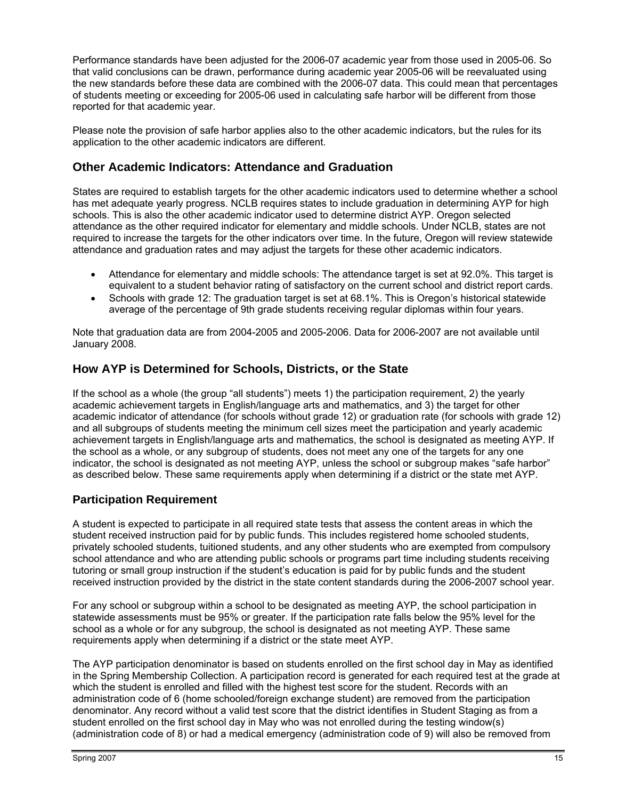Performance standards have been adjusted for the 2006-07 academic year from those used in 2005-06. So that valid conclusions can be drawn, performance during academic year 2005-06 will be reevaluated using the new standards before these data are combined with the 2006-07 data. This could mean that percentages of students meeting or exceeding for 2005-06 used in calculating safe harbor will be different from those reported for that academic year.

Please note the provision of safe harbor applies also to the other academic indicators, but the rules for its application to the other academic indicators are different.

#### **Other Academic Indicators: Attendance and Graduation**

States are required to establish targets for the other academic indicators used to determine whether a school has met adequate yearly progress. NCLB requires states to include graduation in determining AYP for high schools. This is also the other academic indicator used to determine district AYP. Oregon selected attendance as the other required indicator for elementary and middle schools. Under NCLB, states are not required to increase the targets for the other indicators over time. In the future, Oregon will review statewide attendance and graduation rates and may adjust the targets for these other academic indicators.

- Attendance for elementary and middle schools: The attendance target is set at 92.0%. This target is equivalent to a student behavior rating of satisfactory on the current school and district report cards.
- Schools with grade 12: The graduation target is set at 68.1%. This is Oregon's historical statewide average of the percentage of 9th grade students receiving regular diplomas within four years.

Note that graduation data are from 2004-2005 and 2005-2006. Data for 2006-2007 are not available until January 2008.

#### **How AYP is Determined for Schools, Districts, or the State**

If the school as a whole (the group "all students") meets 1) the participation requirement, 2) the yearly academic achievement targets in English/language arts and mathematics, and 3) the target for other academic indicator of attendance (for schools without grade 12) or graduation rate (for schools with grade 12) and all subgroups of students meeting the minimum cell sizes meet the participation and yearly academic achievement targets in English/language arts and mathematics, the school is designated as meeting AYP. If the school as a whole, or any subgroup of students, does not meet any one of the targets for any one indicator, the school is designated as not meeting AYP, unless the school or subgroup makes "safe harbor" as described below. These same requirements apply when determining if a district or the state met AYP.

#### **Participation Requirement**

A student is expected to participate in all required state tests that assess the content areas in which the student received instruction paid for by public funds. This includes registered home schooled students, privately schooled students, tuitioned students, and any other students who are exempted from compulsory school attendance and who are attending public schools or programs part time including students receiving tutoring or small group instruction if the student's education is paid for by public funds and the student received instruction provided by the district in the state content standards during the 2006-2007 school year.

For any school or subgroup within a school to be designated as meeting AYP, the school participation in statewide assessments must be 95% or greater. If the participation rate falls below the 95% level for the school as a whole or for any subgroup, the school is designated as not meeting AYP. These same requirements apply when determining if a district or the state meet AYP.

The AYP participation denominator is based on students enrolled on the first school day in May as identified in the Spring Membership Collection. A participation record is generated for each required test at the grade at which the student is enrolled and filled with the highest test score for the student. Records with an administration code of 6 (home schooled/foreign exchange student) are removed from the participation denominator. Any record without a valid test score that the district identifies in Student Staging as from a student enrolled on the first school day in May who was not enrolled during the testing window(s) (administration code of 8) or had a medical emergency (administration code of 9) will also be removed from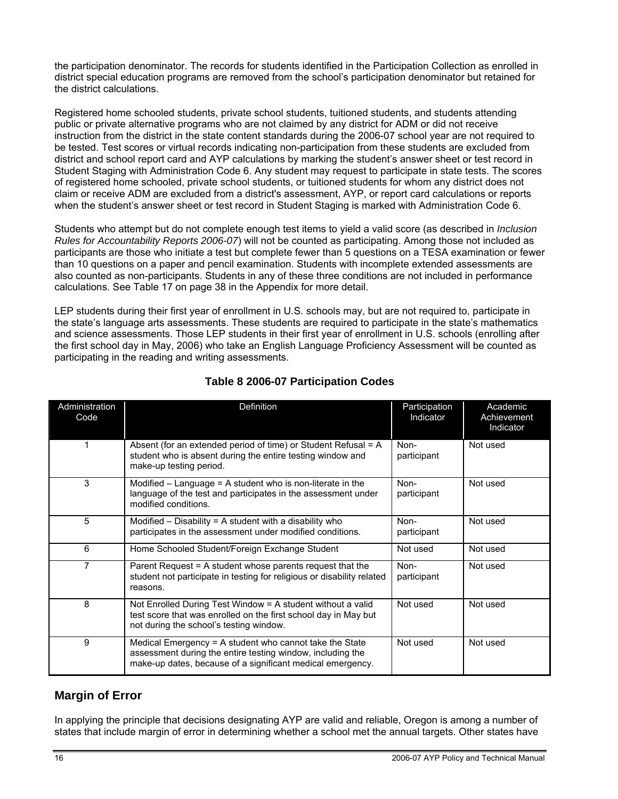the participation denominator. The records for students identified in the Participation Collection as enrolled in district special education programs are removed from the school's participation denominator but retained for the district calculations.

Registered home schooled students, private school students, tuitioned students, and students attending public or private alternative programs who are not claimed by any district for ADM or did not receive instruction from the district in the state content standards during the 2006-07 school year are not required to be tested. Test scores or virtual records indicating non-participation from these students are excluded from district and school report card and AYP calculations by marking the student's answer sheet or test record in Student Staging with Administration Code 6. Any student may request to participate in state tests. The scores of registered home schooled, private school students, or tuitioned students for whom any district does not claim or receive ADM are excluded from a district's assessment, AYP, or report card calculations or reports when the student's answer sheet or test record in Student Staging is marked with Administration Code 6.

Students who attempt but do not complete enough test items to yield a valid score (as described in *Inclusion Rules for Accountability Reports 2006-07*) will not be counted as participating. Among those not included as participants are those who initiate a test but complete fewer than 5 questions on a TESA examination or fewer than 10 questions on a paper and pencil examination. Students with incomplete extended assessments are also counted as non-participants. Students in any of these three conditions are not included in performance calculations. See Table 17 on page 38 in the Appendix for more detail.

LEP students during their first year of enrollment in U.S. schools may, but are not required to, participate in the state's language arts assessments. These students are required to participate in the state's mathematics and science assessments. Those LEP students in their first year of enrollment in U.S. schools (enrolling after the first school day in May, 2006) who take an English Language Proficiency Assessment will be counted as participating in the reading and writing assessments.

| Administration<br>Code | Definition                                                                                                                                                                          | Participation<br>Indicator | Academic<br>Achievement<br>Indicator |
|------------------------|-------------------------------------------------------------------------------------------------------------------------------------------------------------------------------------|----------------------------|--------------------------------------|
|                        | Absent (for an extended period of time) or Student Refusal = A<br>student who is absent during the entire testing window and<br>make-up testing period.                             | Non-<br>participant        | Not used                             |
| 3                      | Modified $-$ Language = A student who is non-literate in the<br>language of the test and participates in the assessment under<br>modified conditions.                               | Non-<br>participant        | Not used                             |
| 5                      | Modified $-$ Disability = A student with a disability who<br>participates in the assessment under modified conditions.                                                              | Non-<br>participant        | Not used                             |
| 6                      | Home Schooled Student/Foreign Exchange Student                                                                                                                                      | Not used                   | Not used                             |
| 7                      | Parent Request = A student whose parents request that the<br>student not participate in testing for religious or disability related<br>reasons.                                     | Non-<br>participant        | Not used                             |
| 8                      | Not Enrolled During Test Window $=$ A student without a valid<br>test score that was enrolled on the first school day in May but<br>not during the school's testing window.         | Not used                   | Not used                             |
| 9                      | Medical Emergency = A student who cannot take the State<br>assessment during the entire testing window, including the<br>make-up dates, because of a significant medical emergency. | Not used                   | Not used                             |

#### **Table 8 2006-07 Participation Codes**

#### **Margin of Error**

In applying the principle that decisions designating AYP are valid and reliable, Oregon is among a number of states that include margin of error in determining whether a school met the annual targets. Other states have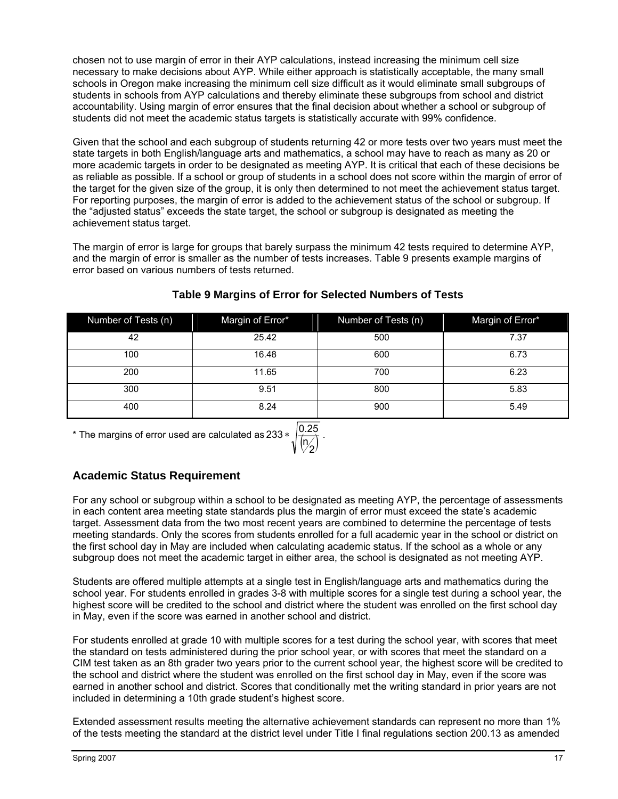chosen not to use margin of error in their AYP calculations, instead increasing the minimum cell size necessary to make decisions about AYP. While either approach is statistically acceptable, the many small schools in Oregon make increasing the minimum cell size difficult as it would eliminate small subgroups of students in schools from AYP calculations and thereby eliminate these subgroups from school and district accountability. Using margin of error ensures that the final decision about whether a school or subgroup of students did not meet the academic status targets is statistically accurate with 99% confidence.

Given that the school and each subgroup of students returning 42 or more tests over two years must meet the state targets in both English/language arts and mathematics, a school may have to reach as many as 20 or more academic targets in order to be designated as meeting AYP. It is critical that each of these decisions be as reliable as possible. If a school or group of students in a school does not score within the margin of error of the target for the given size of the group, it is only then determined to not meet the achievement status target. For reporting purposes, the margin of error is added to the achievement status of the school or subgroup. If the "adjusted status" exceeds the state target, the school or subgroup is designated as meeting the achievement status target.

The margin of error is large for groups that barely surpass the minimum 42 tests required to determine AYP, and the margin of error is smaller as the number of tests increases. Table 9 presents example margins of error based on various numbers of tests returned.

| Number of Tests (n) | Margin of Error* | Number of Tests (n) | Margin of Error* |
|---------------------|------------------|---------------------|------------------|
| 42                  | 25.42            | 500                 | 7.37             |
| 100                 | 16.48            | 600                 | 6.73             |
| 200                 | 11.65            | 700                 | 6.23             |
| 300                 | 9.51             | 800                 | 5.83             |
| 400                 | 8.24             | 900                 | 5.49             |

#### **Table 9 Margins of Error for Selected Numbers of Tests**

\* The margins of error used are calculated as 233 \*  $\sqrt{\frac{0.25}{\binom{N}{2}}}$  . n

#### **Academic Status Requirement**

For any school or subgroup within a school to be designated as meeting AYP, the percentage of assessments in each content area meeting state standards plus the margin of error must exceed the state's academic target. Assessment data from the two most recent years are combined to determine the percentage of tests meeting standards. Only the scores from students enrolled for a full academic year in the school or district on the first school day in May are included when calculating academic status. If the school as a whole or any subgroup does not meet the academic target in either area, the school is designated as not meeting AYP.

Students are offered multiple attempts at a single test in English/language arts and mathematics during the school year. For students enrolled in grades 3-8 with multiple scores for a single test during a school year, the highest score will be credited to the school and district where the student was enrolled on the first school day in May, even if the score was earned in another school and district.

For students enrolled at grade 10 with multiple scores for a test during the school year, with scores that meet the standard on tests administered during the prior school year, or with scores that meet the standard on a CIM test taken as an 8th grader two years prior to the current school year, the highest score will be credited to the school and district where the student was enrolled on the first school day in May, even if the score was earned in another school and district. Scores that conditionally met the writing standard in prior years are not included in determining a 10th grade student's highest score.

Extended assessment results meeting the alternative achievement standards can represent no more than 1% of the tests meeting the standard at the district level under Title I final regulations section 200.13 as amended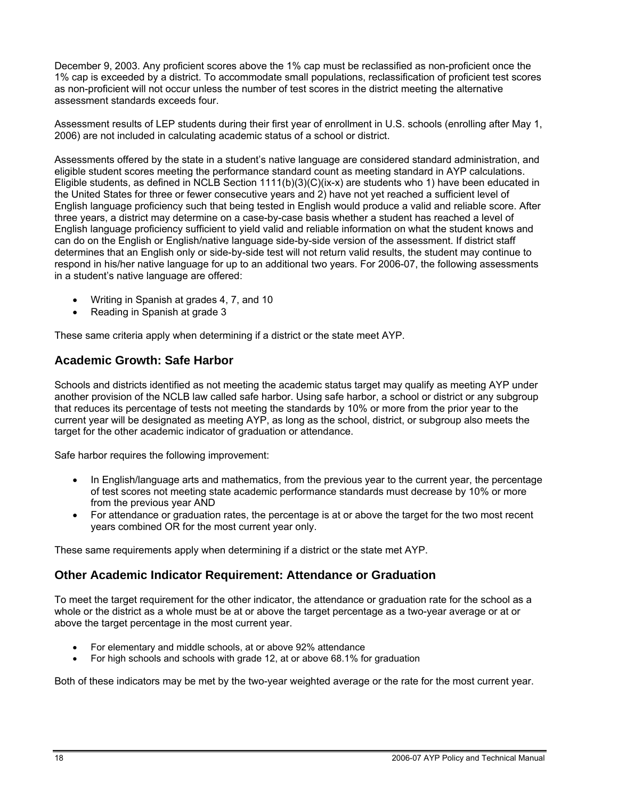December 9, 2003. Any proficient scores above the 1% cap must be reclassified as non-proficient once the 1% cap is exceeded by a district. To accommodate small populations, reclassification of proficient test scores as non-proficient will not occur unless the number of test scores in the district meeting the alternative assessment standards exceeds four.

Assessment results of LEP students during their first year of enrollment in U.S. schools (enrolling after May 1, 2006) are not included in calculating academic status of a school or district.

Assessments offered by the state in a student's native language are considered standard administration, and eligible student scores meeting the performance standard count as meeting standard in AYP calculations. Eligible students, as defined in NCLB Section 1111(b)(3)(C)(ix-x) are students who 1) have been educated in the United States for three or fewer consecutive years and 2) have not yet reached a sufficient level of English language proficiency such that being tested in English would produce a valid and reliable score. After three years, a district may determine on a case-by-case basis whether a student has reached a level of English language proficiency sufficient to yield valid and reliable information on what the student knows and can do on the English or English/native language side-by-side version of the assessment. If district staff determines that an English only or side-by-side test will not return valid results, the student may continue to respond in his/her native language for up to an additional two years. For 2006-07, the following assessments in a student's native language are offered:

- Writing in Spanish at grades 4, 7, and 10
- Reading in Spanish at grade 3

These same criteria apply when determining if a district or the state meet AYP.

#### **Academic Growth: Safe Harbor**

Schools and districts identified as not meeting the academic status target may qualify as meeting AYP under another provision of the NCLB law called safe harbor. Using safe harbor, a school or district or any subgroup that reduces its percentage of tests not meeting the standards by 10% or more from the prior year to the current year will be designated as meeting AYP, as long as the school, district, or subgroup also meets the target for the other academic indicator of graduation or attendance.

Safe harbor requires the following improvement:

- In English/language arts and mathematics, from the previous year to the current year, the percentage of test scores not meeting state academic performance standards must decrease by 10% or more from the previous year AND
- For attendance or graduation rates, the percentage is at or above the target for the two most recent years combined OR for the most current year only.

These same requirements apply when determining if a district or the state met AYP.

#### **Other Academic Indicator Requirement: Attendance or Graduation**

To meet the target requirement for the other indicator, the attendance or graduation rate for the school as a whole or the district as a whole must be at or above the target percentage as a two-year average or at or above the target percentage in the most current year.

- For elementary and middle schools, at or above 92% attendance
- For high schools and schools with grade 12, at or above 68.1% for graduation

Both of these indicators may be met by the two-year weighted average or the rate for the most current year.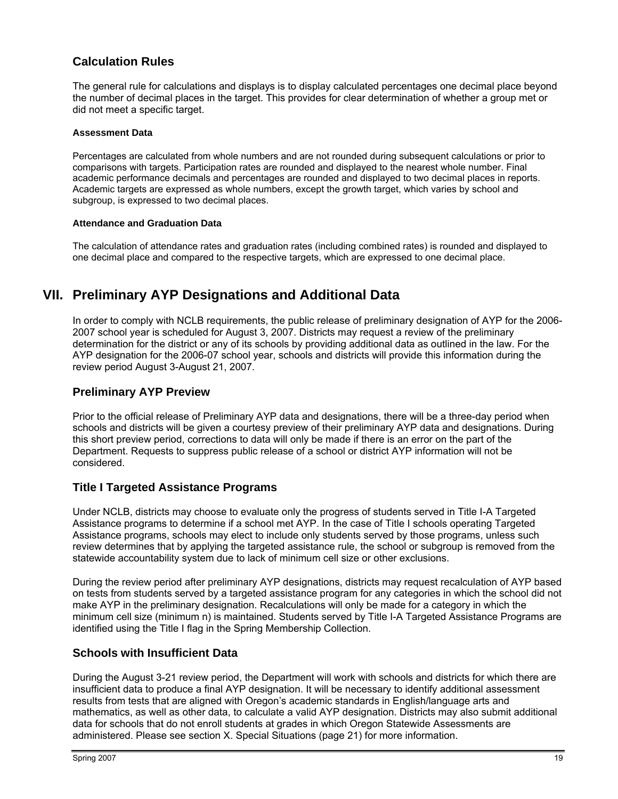#### **Calculation Rules**

The general rule for calculations and displays is to display calculated percentages one decimal place beyond the number of decimal places in the target. This provides for clear determination of whether a group met or did not meet a specific target.

#### **Assessment Data**

Percentages are calculated from whole numbers and are not rounded during subsequent calculations or prior to comparisons with targets. Participation rates are rounded and displayed to the nearest whole number. Final academic performance decimals and percentages are rounded and displayed to two decimal places in reports. Academic targets are expressed as whole numbers, except the growth target, which varies by school and subgroup, is expressed to two decimal places.

#### **Attendance and Graduation Data**

The calculation of attendance rates and graduation rates (including combined rates) is rounded and displayed to one decimal place and compared to the respective targets, which are expressed to one decimal place.

## **VII. Preliminary AYP Designations and Additional Data**

In order to comply with NCLB requirements, the public release of preliminary designation of AYP for the 2006- 2007 school year is scheduled for August 3, 2007. Districts may request a review of the preliminary determination for the district or any of its schools by providing additional data as outlined in the law. For the AYP designation for the 2006-07 school year, schools and districts will provide this information during the review period August 3-August 21, 2007.

#### **Preliminary AYP Preview**

Prior to the official release of Preliminary AYP data and designations, there will be a three-day period when schools and districts will be given a courtesy preview of their preliminary AYP data and designations. During this short preview period, corrections to data will only be made if there is an error on the part of the Department. Requests to suppress public release of a school or district AYP information will not be considered.

#### **Title I Targeted Assistance Programs**

Under NCLB, districts may choose to evaluate only the progress of students served in Title I-A Targeted Assistance programs to determine if a school met AYP. In the case of Title I schools operating Targeted Assistance programs, schools may elect to include only students served by those programs, unless such review determines that by applying the targeted assistance rule, the school or subgroup is removed from the statewide accountability system due to lack of minimum cell size or other exclusions.

During the review period after preliminary AYP designations, districts may request recalculation of AYP based on tests from students served by a targeted assistance program for any categories in which the school did not make AYP in the preliminary designation. Recalculations will only be made for a category in which the minimum cell size (minimum n) is maintained. Students served by Title I-A Targeted Assistance Programs are identified using the Title I flag in the Spring Membership Collection.

#### **Schools with Insufficient Data**

During the August 3-21 review period, the Department will work with schools and districts for which there are insufficient data to produce a final AYP designation. It will be necessary to identify additional assessment results from tests that are aligned with Oregon's academic standards in English/language arts and mathematics, as well as other data, to calculate a valid AYP designation. Districts may also submit additional data for schools that do not enroll students at grades in which Oregon Statewide Assessments are administered. Please see section X. Special Situations (page 21) for more information.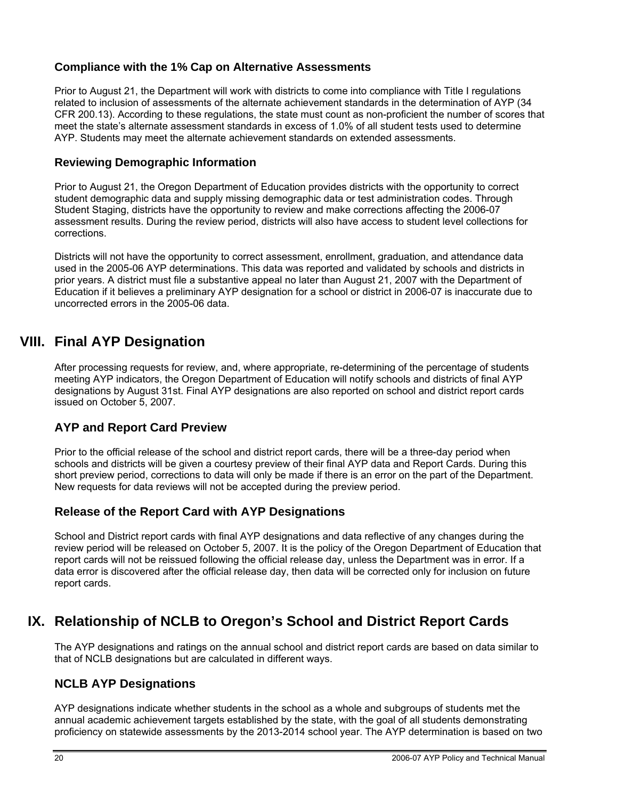#### **Compliance with the 1% Cap on Alternative Assessments**

Prior to August 21, the Department will work with districts to come into compliance with Title I regulations related to inclusion of assessments of the alternate achievement standards in the determination of AYP (34 CFR 200.13). According to these regulations, the state must count as non-proficient the number of scores that meet the state's alternate assessment standards in excess of 1.0% of all student tests used to determine AYP. Students may meet the alternate achievement standards on extended assessments.

#### **Reviewing Demographic Information**

Prior to August 21, the Oregon Department of Education provides districts with the opportunity to correct student demographic data and supply missing demographic data or test administration codes. Through Student Staging, districts have the opportunity to review and make corrections affecting the 2006-07 assessment results. During the review period, districts will also have access to student level collections for corrections.

Districts will not have the opportunity to correct assessment, enrollment, graduation, and attendance data used in the 2005-06 AYP determinations. This data was reported and validated by schools and districts in prior years. A district must file a substantive appeal no later than August 21, 2007 with the Department of Education if it believes a preliminary AYP designation for a school or district in 2006-07 is inaccurate due to uncorrected errors in the 2005-06 data.

### **VIII. Final AYP Designation**

After processing requests for review, and, where appropriate, re-determining of the percentage of students meeting AYP indicators, the Oregon Department of Education will notify schools and districts of final AYP designations by August 31st. Final AYP designations are also reported on school and district report cards issued on October 5, 2007.

#### **AYP and Report Card Preview**

Prior to the official release of the school and district report cards, there will be a three-day period when schools and districts will be given a courtesy preview of their final AYP data and Report Cards. During this short preview period, corrections to data will only be made if there is an error on the part of the Department. New requests for data reviews will not be accepted during the preview period.

#### **Release of the Report Card with AYP Designations**

School and District report cards with final AYP designations and data reflective of any changes during the review period will be released on October 5, 2007. It is the policy of the Oregon Department of Education that report cards will not be reissued following the official release day, unless the Department was in error. If a data error is discovered after the official release day, then data will be corrected only for inclusion on future report cards.

## **IX. Relationship of NCLB to Oregon's School and District Report Cards**

The AYP designations and ratings on the annual school and district report cards are based on data similar to that of NCLB designations but are calculated in different ways.

#### **NCLB AYP Designations**

AYP designations indicate whether students in the school as a whole and subgroups of students met the annual academic achievement targets established by the state, with the goal of all students demonstrating proficiency on statewide assessments by the 2013-2014 school year. The AYP determination is based on two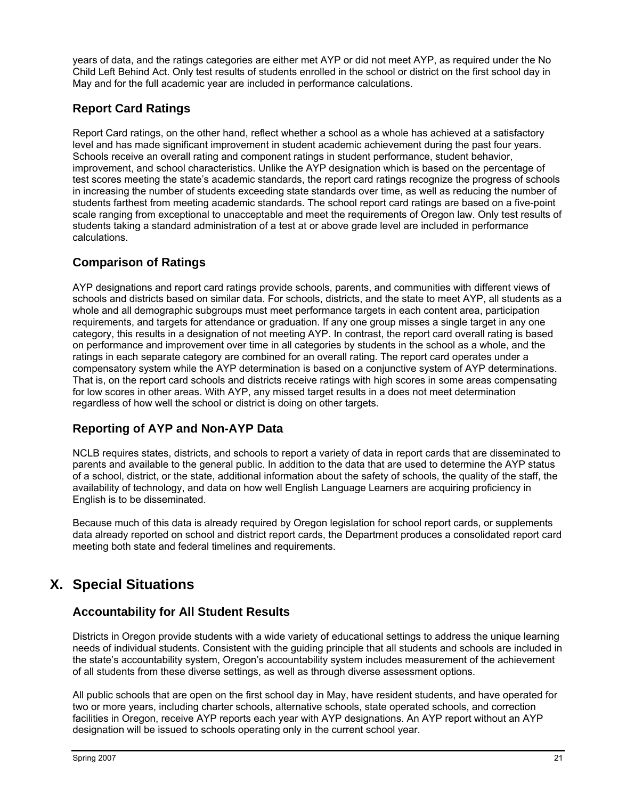years of data, and the ratings categories are either met AYP or did not meet AYP, as required under the No Child Left Behind Act. Only test results of students enrolled in the school or district on the first school day in May and for the full academic year are included in performance calculations.

#### **Report Card Ratings**

Report Card ratings, on the other hand, reflect whether a school as a whole has achieved at a satisfactory level and has made significant improvement in student academic achievement during the past four years. Schools receive an overall rating and component ratings in student performance, student behavior, improvement, and school characteristics. Unlike the AYP designation which is based on the percentage of test scores meeting the state's academic standards, the report card ratings recognize the progress of schools in increasing the number of students exceeding state standards over time, as well as reducing the number of students farthest from meeting academic standards. The school report card ratings are based on a five-point scale ranging from exceptional to unacceptable and meet the requirements of Oregon law. Only test results of students taking a standard administration of a test at or above grade level are included in performance calculations.

#### **Comparison of Ratings**

AYP designations and report card ratings provide schools, parents, and communities with different views of schools and districts based on similar data. For schools, districts, and the state to meet AYP, all students as a whole and all demographic subgroups must meet performance targets in each content area, participation requirements, and targets for attendance or graduation. If any one group misses a single target in any one category, this results in a designation of not meeting AYP. In contrast, the report card overall rating is based on performance and improvement over time in all categories by students in the school as a whole, and the ratings in each separate category are combined for an overall rating. The report card operates under a compensatory system while the AYP determination is based on a conjunctive system of AYP determinations. That is, on the report card schools and districts receive ratings with high scores in some areas compensating for low scores in other areas. With AYP, any missed target results in a does not meet determination regardless of how well the school or district is doing on other targets.

### **Reporting of AYP and Non-AYP Data**

NCLB requires states, districts, and schools to report a variety of data in report cards that are disseminated to parents and available to the general public. In addition to the data that are used to determine the AYP status of a school, district, or the state, additional information about the safety of schools, the quality of the staff, the availability of technology, and data on how well English Language Learners are acquiring proficiency in English is to be disseminated.

Because much of this data is already required by Oregon legislation for school report cards, or supplements data already reported on school and district report cards, the Department produces a consolidated report card meeting both state and federal timelines and requirements.

## **X. Special Situations**

#### **Accountability for All Student Results**

Districts in Oregon provide students with a wide variety of educational settings to address the unique learning needs of individual students. Consistent with the guiding principle that all students and schools are included in the state's accountability system, Oregon's accountability system includes measurement of the achievement of all students from these diverse settings, as well as through diverse assessment options.

All public schools that are open on the first school day in May, have resident students, and have operated for two or more years, including charter schools, alternative schools, state operated schools, and correction facilities in Oregon, receive AYP reports each year with AYP designations. An AYP report without an AYP designation will be issued to schools operating only in the current school year.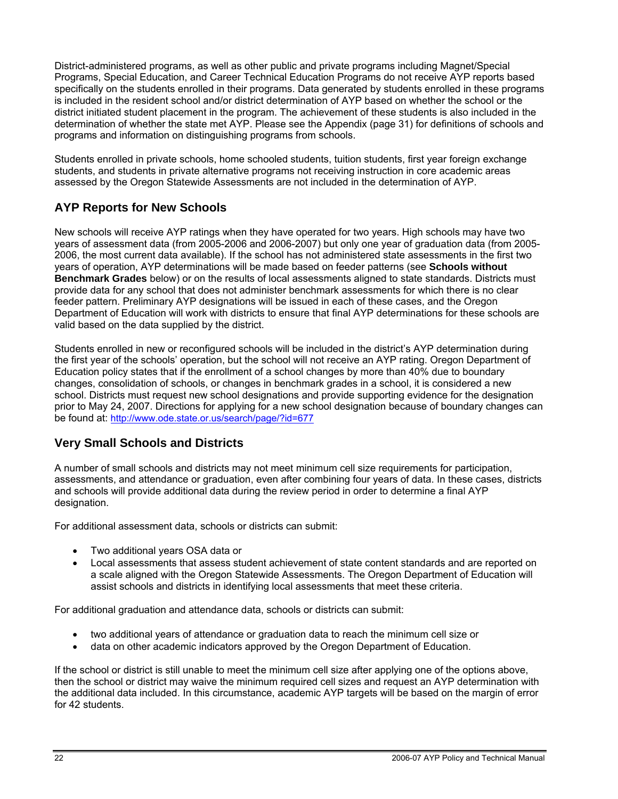District-administered programs, as well as other public and private programs including Magnet/Special Programs, Special Education, and Career Technical Education Programs do not receive AYP reports based specifically on the students enrolled in their programs. Data generated by students enrolled in these programs is included in the resident school and/or district determination of AYP based on whether the school or the district initiated student placement in the program. The achievement of these students is also included in the determination of whether the state met AYP. Please see the Appendix (page 31) for definitions of schools and programs and information on distinguishing programs from schools.

Students enrolled in private schools, home schooled students, tuition students, first year foreign exchange students, and students in private alternative programs not receiving instruction in core academic areas assessed by the Oregon Statewide Assessments are not included in the determination of AYP.

#### **AYP Reports for New Schools**

New schools will receive AYP ratings when they have operated for two years. High schools may have two years of assessment data (from 2005-2006 and 2006-2007) but only one year of graduation data (from 2005- 2006, the most current data available). If the school has not administered state assessments in the first two years of operation, AYP determinations will be made based on feeder patterns (see **Schools without Benchmark Grades** below) or on the results of local assessments aligned to state standards. Districts must provide data for any school that does not administer benchmark assessments for which there is no clear feeder pattern. Preliminary AYP designations will be issued in each of these cases, and the Oregon Department of Education will work with districts to ensure that final AYP determinations for these schools are valid based on the data supplied by the district.

Students enrolled in new or reconfigured schools will be included in the district's AYP determination during the first year of the schools' operation, but the school will not receive an AYP rating. Oregon Department of Education policy states that if the enrollment of a school changes by more than 40% due to boundary changes, consolidation of schools, or changes in benchmark grades in a school, it is considered a new school. Districts must request new school designations and provide supporting evidence for the designation prior to May 24, 2007. Directions for applying for a new school designation because of boundary changes can be found at: http://www.ode.state.or.us/search/page/?id=677

#### **Very Small Schools and Districts**

A number of small schools and districts may not meet minimum cell size requirements for participation, assessments, and attendance or graduation, even after combining four years of data. In these cases, districts and schools will provide additional data during the review period in order to determine a final AYP designation.

For additional assessment data, schools or districts can submit:

- Two additional years OSA data or
- Local assessments that assess student achievement of state content standards and are reported on a scale aligned with the Oregon Statewide Assessments. The Oregon Department of Education will assist schools and districts in identifying local assessments that meet these criteria.

For additional graduation and attendance data, schools or districts can submit:

- two additional years of attendance or graduation data to reach the minimum cell size or
- data on other academic indicators approved by the Oregon Department of Education.

If the school or district is still unable to meet the minimum cell size after applying one of the options above, then the school or district may waive the minimum required cell sizes and request an AYP determination with the additional data included. In this circumstance, academic AYP targets will be based on the margin of error for 42 students.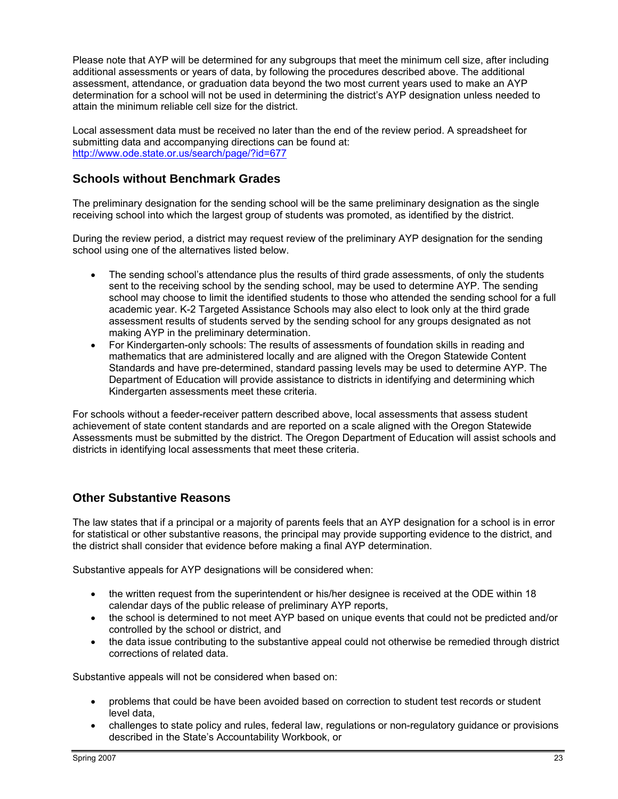Please note that AYP will be determined for any subgroups that meet the minimum cell size, after including additional assessments or years of data, by following the procedures described above. The additional assessment, attendance, or graduation data beyond the two most current years used to make an AYP determination for a school will not be used in determining the district's AYP designation unless needed to attain the minimum reliable cell size for the district.

Local assessment data must be received no later than the end of the review period. A spreadsheet for submitting data and accompanying directions can be found at: http://www.ode.state.or.us/search/page/?id=677

#### **Schools without Benchmark Grades**

The preliminary designation for the sending school will be the same preliminary designation as the single receiving school into which the largest group of students was promoted, as identified by the district.

During the review period, a district may request review of the preliminary AYP designation for the sending school using one of the alternatives listed below.

- The sending school's attendance plus the results of third grade assessments, of only the students sent to the receiving school by the sending school, may be used to determine AYP. The sending school may choose to limit the identified students to those who attended the sending school for a full academic year. K-2 Targeted Assistance Schools may also elect to look only at the third grade assessment results of students served by the sending school for any groups designated as not making AYP in the preliminary determination.
- For Kindergarten-only schools: The results of assessments of foundation skills in reading and mathematics that are administered locally and are aligned with the Oregon Statewide Content Standards and have pre-determined, standard passing levels may be used to determine AYP. The Department of Education will provide assistance to districts in identifying and determining which Kindergarten assessments meet these criteria.

For schools without a feeder-receiver pattern described above, local assessments that assess student achievement of state content standards and are reported on a scale aligned with the Oregon Statewide Assessments must be submitted by the district. The Oregon Department of Education will assist schools and districts in identifying local assessments that meet these criteria.

#### **Other Substantive Reasons**

The law states that if a principal or a majority of parents feels that an AYP designation for a school is in error for statistical or other substantive reasons, the principal may provide supporting evidence to the district, and the district shall consider that evidence before making a final AYP determination.

Substantive appeals for AYP designations will be considered when:

- the written request from the superintendent or his/her designee is received at the ODE within 18 calendar days of the public release of preliminary AYP reports,
- the school is determined to not meet AYP based on unique events that could not be predicted and/or controlled by the school or district, and
- the data issue contributing to the substantive appeal could not otherwise be remedied through district corrections of related data.

Substantive appeals will not be considered when based on:

- problems that could be have been avoided based on correction to student test records or student level data,
- challenges to state policy and rules, federal law, regulations or non-regulatory guidance or provisions described in the State's Accountability Workbook, or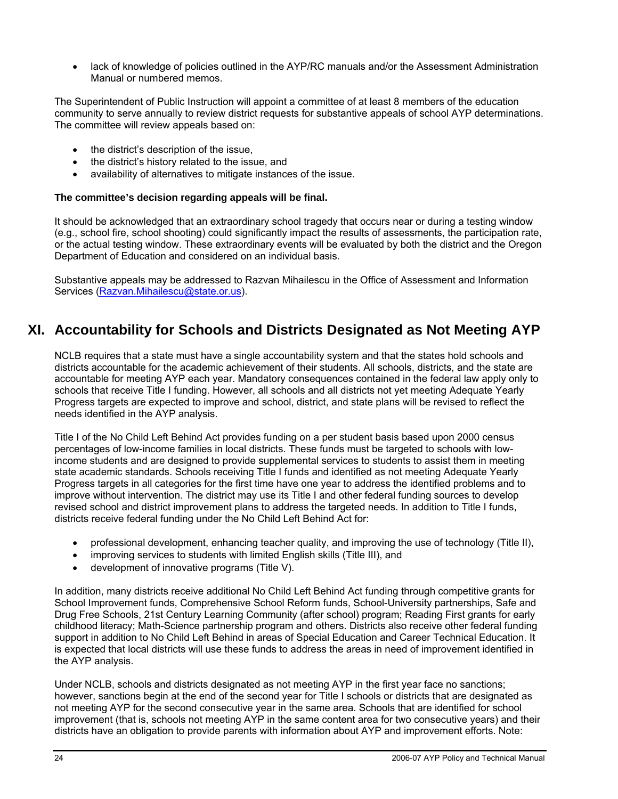lack of knowledge of policies outlined in the AYP/RC manuals and/or the Assessment Administration Manual or numbered memos.

The Superintendent of Public Instruction will appoint a committee of at least 8 members of the education community to serve annually to review district requests for substantive appeals of school AYP determinations. The committee will review appeals based on:

- the district's description of the issue,
- the district's history related to the issue, and
- availability of alternatives to mitigate instances of the issue.

#### **The committee's decision regarding appeals will be final.**

It should be acknowledged that an extraordinary school tragedy that occurs near or during a testing window (e.g., school fire, school shooting) could significantly impact the results of assessments, the participation rate, or the actual testing window. These extraordinary events will be evaluated by both the district and the Oregon Department of Education and considered on an individual basis.

Substantive appeals may be addressed to Razvan Mihailescu in the Office of Assessment and Information Services [\(Razvan.Mihailescu@state.or.us\)](mailto:razvan.mihailescu@state.or.us).

## **XI. Accountability for Schools and Districts Designated as Not Meeting AYP**

NCLB requires that a state must have a single accountability system and that the states hold schools and districts accountable for the academic achievement of their students. All schools, districts, and the state are accountable for meeting AYP each year. Mandatory consequences contained in the federal law apply only to schools that receive Title I funding. However, all schools and all districts not yet meeting Adequate Yearly Progress targets are expected to improve and school, district, and state plans will be revised to reflect the needs identified in the AYP analysis.

Title I of the No Child Left Behind Act provides funding on a per student basis based upon 2000 census percentages of low-income families in local districts. These funds must be targeted to schools with lowincome students and are designed to provide supplemental services to students to assist them in meeting state academic standards. Schools receiving Title I funds and identified as not meeting Adequate Yearly Progress targets in all categories for the first time have one year to address the identified problems and to improve without intervention. The district may use its Title I and other federal funding sources to develop revised school and district improvement plans to address the targeted needs. In addition to Title I funds, districts receive federal funding under the No Child Left Behind Act for:

- professional development, enhancing teacher quality, and improving the use of technology (Title II),
- improving services to students with limited English skills (Title III), and
- development of innovative programs (Title V).

In addition, many districts receive additional No Child Left Behind Act funding through competitive grants for School Improvement funds, Comprehensive School Reform funds, School-University partnerships, Safe and Drug Free Schools, 21st Century Learning Community (after school) program; Reading First grants for early childhood literacy; Math-Science partnership program and others. Districts also receive other federal funding support in addition to No Child Left Behind in areas of Special Education and Career Technical Education. It is expected that local districts will use these funds to address the areas in need of improvement identified in the AYP analysis.

Under NCLB, schools and districts designated as not meeting AYP in the first year face no sanctions; however, sanctions begin at the end of the second year for Title I schools or districts that are designated as not meeting AYP for the second consecutive year in the same area. Schools that are identified for school improvement (that is, schools not meeting AYP in the same content area for two consecutive years) and their districts have an obligation to provide parents with information about AYP and improvement efforts. Note: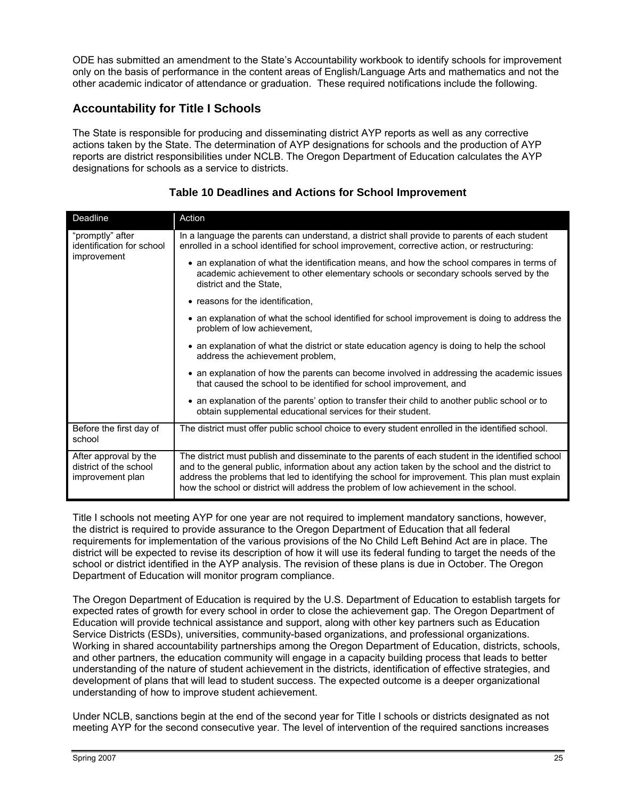ODE has submitted an amendment to the State's Accountability workbook to identify schools for improvement only on the basis of performance in the content areas of English/Language Arts and mathematics and not the other academic indicator of attendance or graduation. These required notifications include the following.

#### **Accountability for Title I Schools**

The State is responsible for producing and disseminating district AYP reports as well as any corrective actions taken by the State. The determination of AYP designations for schools and the production of AYP reports are district responsibilities under NCLB. The Oregon Department of Education calculates the AYP designations for schools as a service to districts.

| Deadline                                                            | Action                                                                                                                                                                                                                                                                                                                                                                                           |
|---------------------------------------------------------------------|--------------------------------------------------------------------------------------------------------------------------------------------------------------------------------------------------------------------------------------------------------------------------------------------------------------------------------------------------------------------------------------------------|
| "promptly" after<br>identification for school                       | In a language the parents can understand, a district shall provide to parents of each student<br>enrolled in a school identified for school improvement, corrective action, or restructuring:                                                                                                                                                                                                    |
| improvement                                                         | • an explanation of what the identification means, and how the school compares in terms of<br>academic achievement to other elementary schools or secondary schools served by the<br>district and the State,                                                                                                                                                                                     |
|                                                                     | • reasons for the identification,                                                                                                                                                                                                                                                                                                                                                                |
|                                                                     | • an explanation of what the school identified for school improvement is doing to address the<br>problem of low achievement,                                                                                                                                                                                                                                                                     |
|                                                                     | • an explanation of what the district or state education agency is doing to help the school<br>address the achievement problem,                                                                                                                                                                                                                                                                  |
|                                                                     | • an explanation of how the parents can become involved in addressing the academic issues<br>that caused the school to be identified for school improvement, and                                                                                                                                                                                                                                 |
|                                                                     | • an explanation of the parents' option to transfer their child to another public school or to<br>obtain supplemental educational services for their student.                                                                                                                                                                                                                                    |
| Before the first day of<br>school                                   | The district must offer public school choice to every student enrolled in the identified school.                                                                                                                                                                                                                                                                                                 |
| After approval by the<br>district of the school<br>improvement plan | The district must publish and disseminate to the parents of each student in the identified school<br>and to the general public, information about any action taken by the school and the district to<br>address the problems that led to identifying the school for improvement. This plan must explain<br>how the school or district will address the problem of low achievement in the school. |

#### **Table 10 Deadlines and Actions for School Improvement**

Title I schools not meeting AYP for one year are not required to implement mandatory sanctions, however, the district is required to provide assurance to the Oregon Department of Education that all federal requirements for implementation of the various provisions of the No Child Left Behind Act are in place. The district will be expected to revise its description of how it will use its federal funding to target the needs of the school or district identified in the AYP analysis. The revision of these plans is due in October. The Oregon Department of Education will monitor program compliance.

The Oregon Department of Education is required by the U.S. Department of Education to establish targets for expected rates of growth for every school in order to close the achievement gap. The Oregon Department of Education will provide technical assistance and support, along with other key partners such as Education Service Districts (ESDs), universities, community-based organizations, and professional organizations. Working in shared accountability partnerships among the Oregon Department of Education, districts, schools, and other partners, the education community will engage in a capacity building process that leads to better understanding of the nature of student achievement in the districts, identification of effective strategies, and development of plans that will lead to student success. The expected outcome is a deeper organizational understanding of how to improve student achievement.

Under NCLB, sanctions begin at the end of the second year for Title I schools or districts designated as not meeting AYP for the second consecutive year. The level of intervention of the required sanctions increases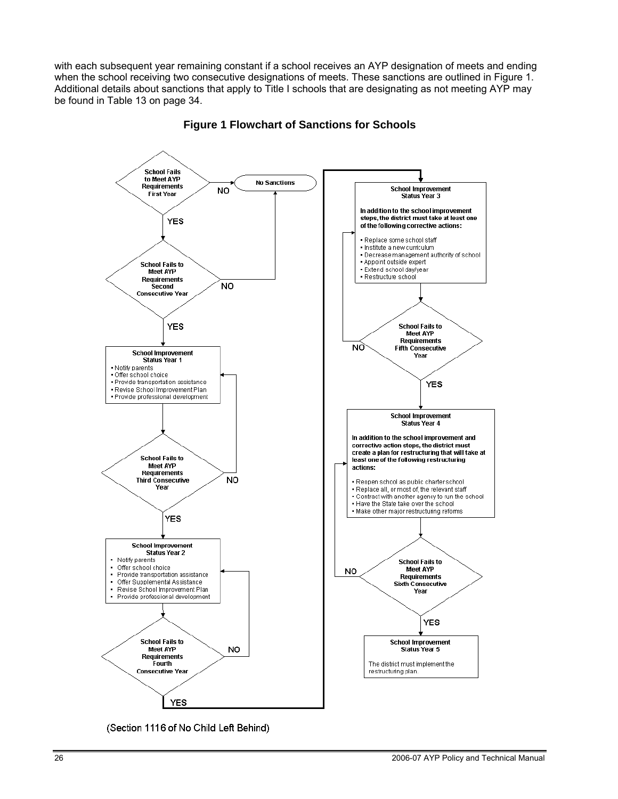with each subsequent year remaining constant if a school receives an AYP designation of meets and ending when the school receiving two consecutive designations of meets. These sanctions are outlined in Figure 1. Additional details about sanctions that apply to Title I schools that are designating as not meeting AYP may be found in Table 13 on page 34.



**Figure 1 Flowchart of Sanctions for Schools**

(Section 1116 of No Child Left Behind)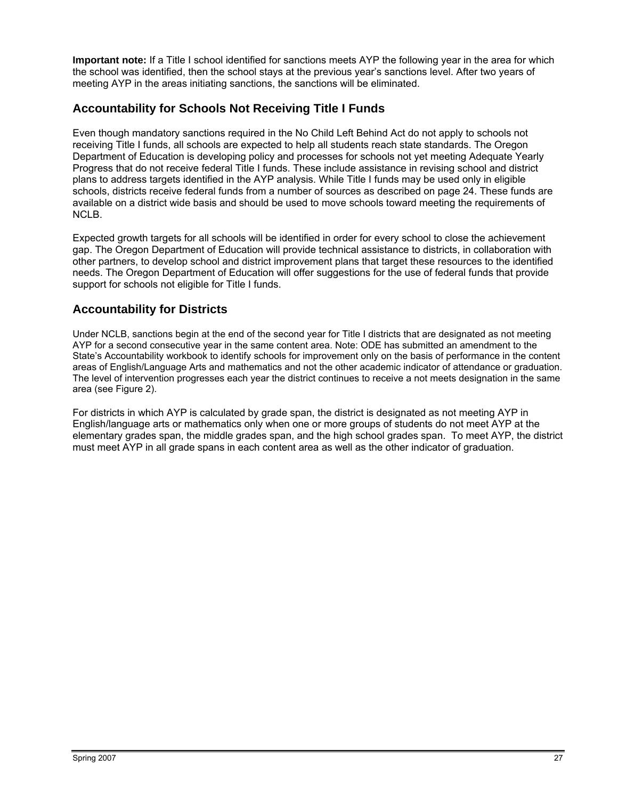**Important note:** If a Title I school identified for sanctions meets AYP the following year in the area for which the school was identified, then the school stays at the previous year's sanctions level. After two years of meeting AYP in the areas initiating sanctions, the sanctions will be eliminated.

#### **Accountability for Schools Not Receiving Title I Funds**

Even though mandatory sanctions required in the No Child Left Behind Act do not apply to schools not receiving Title I funds, all schools are expected to help all students reach state standards. The Oregon Department of Education is developing policy and processes for schools not yet meeting Adequate Yearly Progress that do not receive federal Title I funds. These include assistance in revising school and district plans to address targets identified in the AYP analysis. While Title I funds may be used only in eligible schools, districts receive federal funds from a number of sources as described on page 24. These funds are available on a district wide basis and should be used to move schools toward meeting the requirements of NCLB.

Expected growth targets for all schools will be identified in order for every school to close the achievement gap. The Oregon Department of Education will provide technical assistance to districts, in collaboration with other partners, to develop school and district improvement plans that target these resources to the identified needs. The Oregon Department of Education will offer suggestions for the use of federal funds that provide support for schools not eligible for Title I funds.

#### **Accountability for Districts**

Under NCLB, sanctions begin at the end of the second year for Title I districts that are designated as not meeting AYP for a second consecutive year in the same content area. Note: ODE has submitted an amendment to the State's Accountability workbook to identify schools for improvement only on the basis of performance in the content areas of English/Language Arts and mathematics and not the other academic indicator of attendance or graduation. The level of intervention progresses each year the district continues to receive a not meets designation in the same area (see Figure 2).

For districts in which AYP is calculated by grade span, the district is designated as not meeting AYP in English/language arts or mathematics only when one or more groups of students do not meet AYP at the elementary grades span, the middle grades span, and the high school grades span. To meet AYP, the district must meet AYP in all grade spans in each content area as well as the other indicator of graduation.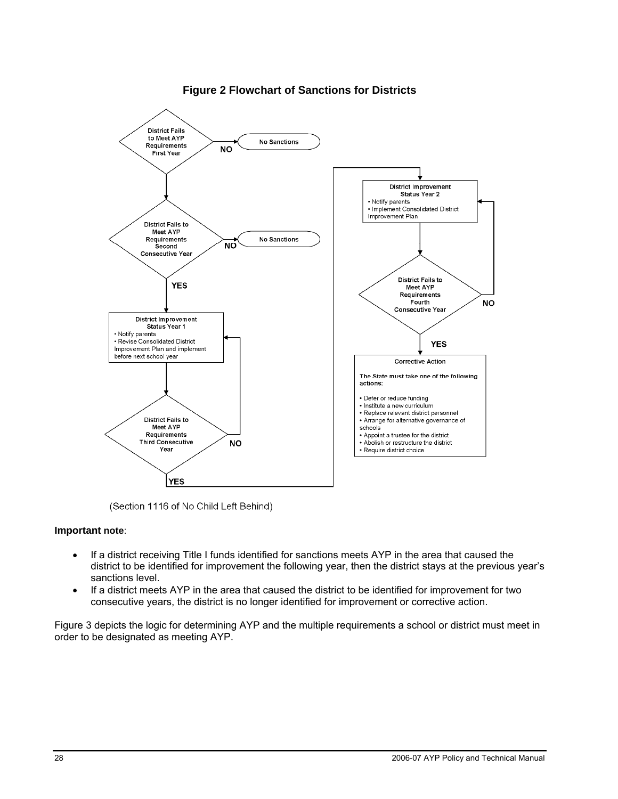

#### **Figure 2 Flowchart of Sanctions for Districts**

(Section 1116 of No Child Left Behind)

#### **Important note**:

- If a district receiving Title I funds identified for sanctions meets AYP in the area that caused the district to be identified for improvement the following year, then the district stays at the previous year's sanctions level.
- If a district meets AYP in the area that caused the district to be identified for improvement for two consecutive years, the district is no longer identified for improvement or corrective action.

Figure 3 depicts the logic for determining AYP and the multiple requirements a school or district must meet in order to be designated as meeting AYP.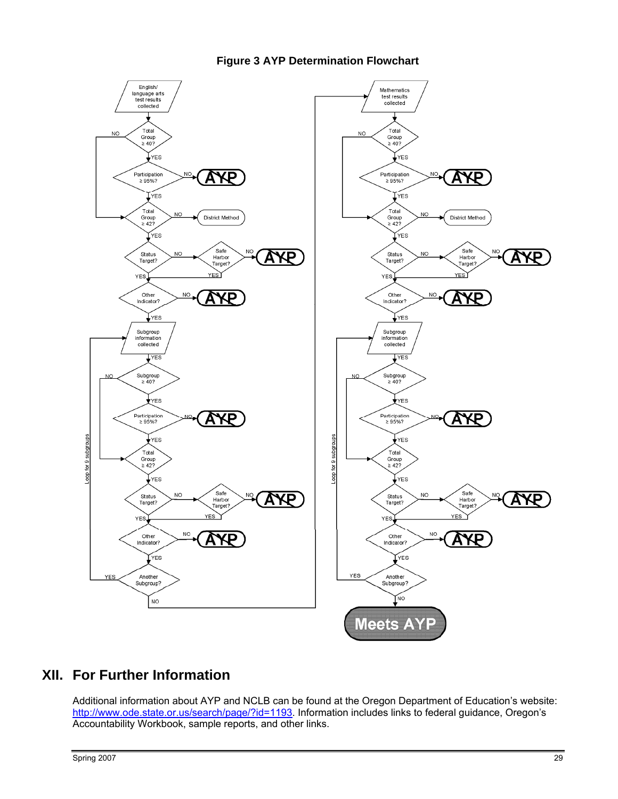

#### **Figure 3 AYP Determination Flowchart**



## **XII. For Further Information**

Additional information about AYP and NCLB can be found at the Oregon Department of Education's website: http://www.ode.state.or.us/search/page/?id=1193. Information includes links to federal guidance, Oregon's Accountability Workbook, sample reports, and other links.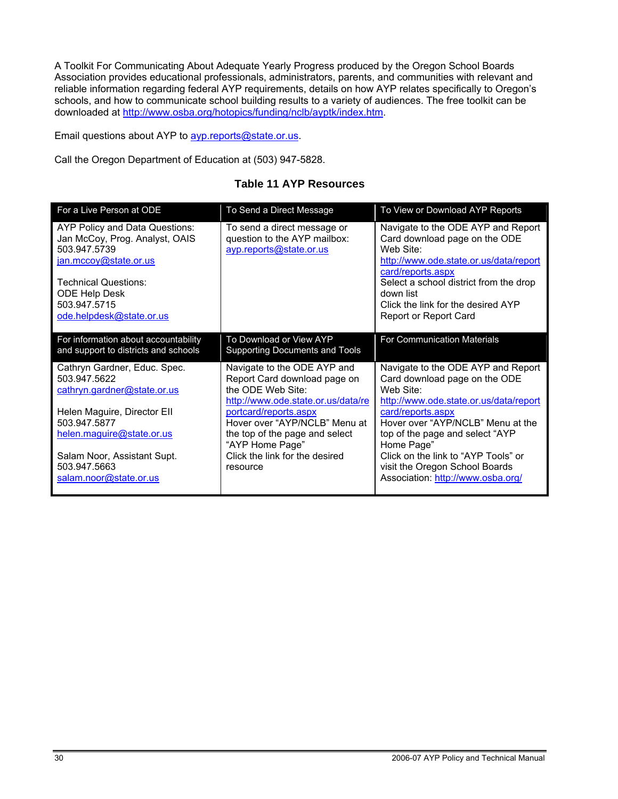A Toolkit For Communicating About Adequate Yearly Progress produced by the Oregon School Boards Association provides educational professionals, administrators, parents, and communities with relevant and reliable information regarding federal AYP requirements, details on how AYP relates specifically to Oregon's schools, and how to communicate school building results to a variety of audiences. The free toolkit can be downloaded at http://www.osba.org/hotopics/funding/nclb/ayptk/index.htm.

Email questions about AYP to **ayp.reports@state.or.us.** 

Call the Oregon Department of Education at (503) 947-5828.

| For a Live Person at ODE                                                                                                                                                                              | To Send a Direct Message                                                                                                                                                                                                              | To View or Download AYP Reports                                                                                                                                                                                                                                       |
|-------------------------------------------------------------------------------------------------------------------------------------------------------------------------------------------------------|---------------------------------------------------------------------------------------------------------------------------------------------------------------------------------------------------------------------------------------|-----------------------------------------------------------------------------------------------------------------------------------------------------------------------------------------------------------------------------------------------------------------------|
| AYP Policy and Data Questions:<br>Jan McCoy, Prog. Analyst, OAIS<br>503.947.5739<br>jan.mccoy@state.or.us<br><b>Technical Questions:</b><br>ODE Help Desk<br>503.947.5715<br>ode.helpdesk@state.or.us | To send a direct message or<br>question to the AYP mailbox:<br>ayp.reports@state.or.us                                                                                                                                                | Navigate to the ODE AYP and Report<br>Card download page on the ODE<br>Web Site:<br>http://www.ode.state.or.us/data/report<br>card/reports.aspx<br>Select a school district from the drop<br>down list<br>Click the link for the desired AYP<br>Report or Report Card |
| For information about accountability<br>and support to districts and schools                                                                                                                          | To Download or View AYP<br>Supporting Documents and Tools                                                                                                                                                                             | For Communication Materials                                                                                                                                                                                                                                           |
| Cathryn Gardner, Educ. Spec.<br>503.947.5622<br>cathryn.gardner@state.or.us<br>Helen Maguire, Director Ell<br>503.947.5877<br>helen.maguire@state.or.us                                               | Navigate to the ODE AYP and<br>Report Card download page on<br>the ODE Web Site:<br>http://www.ode.state.or.us/data/re<br>portcard/reports.aspx<br>Hover over "AYP/NCLB" Menu at<br>the top of the page and select<br>"AYP Home Page" | Navigate to the ODE AYP and Report<br>Card download page on the ODE<br>Web Site:<br>http://www.ode.state.or.us/data/report<br>card/reports.aspx<br>Hover over "AYP/NCLB" Menu at the<br>top of the page and select "AYP<br>Home Page"                                 |
| Salam Noor, Assistant Supt.<br>503.947.5663<br>salam.noor@state.or.us                                                                                                                                 | Click the link for the desired<br>resource                                                                                                                                                                                            | Click on the link to "AYP Tools" or<br>visit the Oregon School Boards<br>Association: http://www.osba.org/                                                                                                                                                            |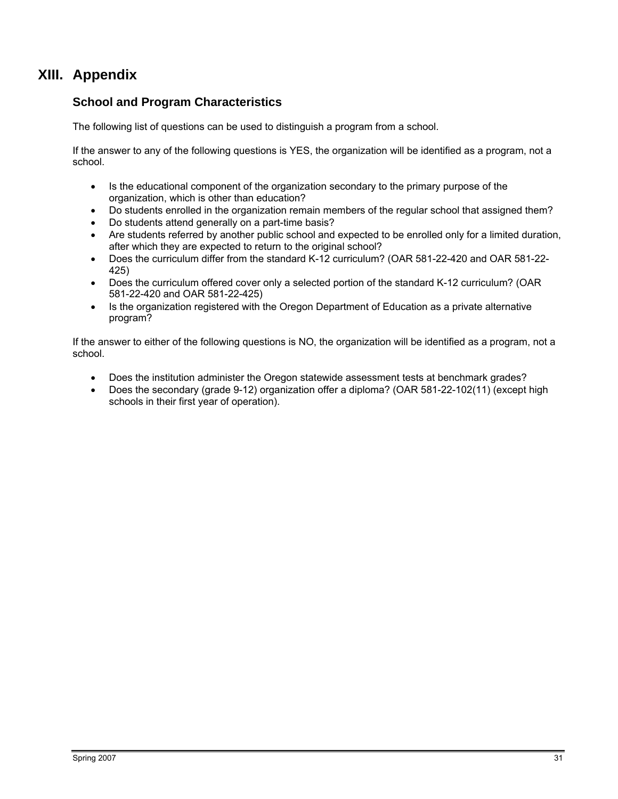## **XIII. Appendix**

#### **School and Program Characteristics**

The following list of questions can be used to distinguish a program from a school.

If the answer to any of the following questions is YES, the organization will be identified as a program, not a school.

- Is the educational component of the organization secondary to the primary purpose of the organization, which is other than education?
- Do students enrolled in the organization remain members of the regular school that assigned them?
- Do students attend generally on a part-time basis?
- Are students referred by another public school and expected to be enrolled only for a limited duration, after which they are expected to return to the original school?
- Does the curriculum differ from the standard K-12 curriculum? (OAR 581-22-420 and OAR 581-22- 425)
- Does the curriculum offered cover only a selected portion of the standard K-12 curriculum? (OAR 581-22-420 and OAR 581-22-425)
- Is the organization registered with the Oregon Department of Education as a private alternative program?

If the answer to either of the following questions is NO, the organization will be identified as a program, not a school.

- Does the institution administer the Oregon statewide assessment tests at benchmark grades?
- Does the secondary (grade 9-12) organization offer a diploma? (OAR 581-22-102(11) (except high schools in their first year of operation).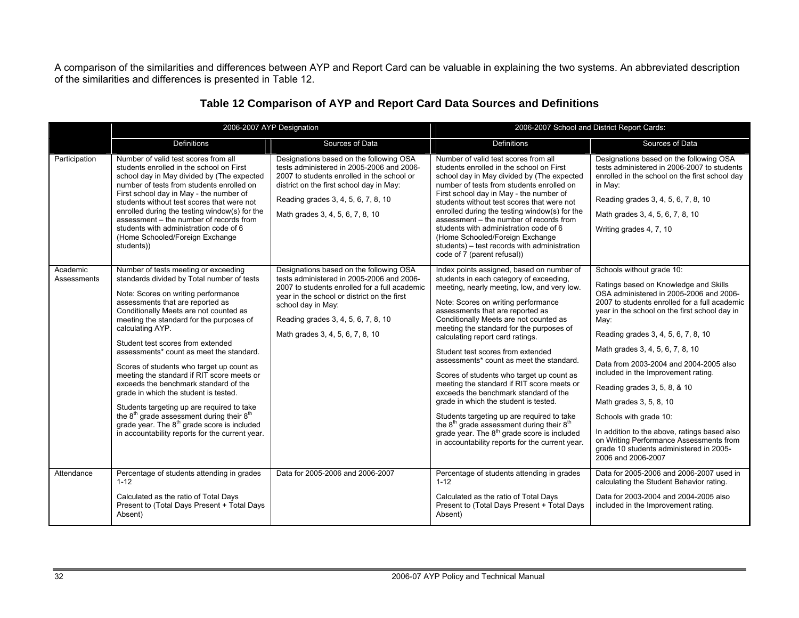A comparison of the similarities and differences between AYP and Report Card can be valuable in explaining the two systems. An abbreviated description of the similarities and differences is presented in Table 12.

|                         |                                                                                                                                                                                                                                                                                                                                                                                                                                                                                                                                                                                                                                                                                                                                                                        | 2006-2007 AYP Designation                                                                                                                                                                                                                                                             |                                                                                                                                                                                                                                                                                                                                                                                                                                                                                                                                                                                                                                                                                                                                                                                                                     | 2006-2007 School and District Report Cards:                                                                                                                                                                                                                                                                                                                                                                                                                                                                                                                                                                                          |
|-------------------------|------------------------------------------------------------------------------------------------------------------------------------------------------------------------------------------------------------------------------------------------------------------------------------------------------------------------------------------------------------------------------------------------------------------------------------------------------------------------------------------------------------------------------------------------------------------------------------------------------------------------------------------------------------------------------------------------------------------------------------------------------------------------|---------------------------------------------------------------------------------------------------------------------------------------------------------------------------------------------------------------------------------------------------------------------------------------|---------------------------------------------------------------------------------------------------------------------------------------------------------------------------------------------------------------------------------------------------------------------------------------------------------------------------------------------------------------------------------------------------------------------------------------------------------------------------------------------------------------------------------------------------------------------------------------------------------------------------------------------------------------------------------------------------------------------------------------------------------------------------------------------------------------------|--------------------------------------------------------------------------------------------------------------------------------------------------------------------------------------------------------------------------------------------------------------------------------------------------------------------------------------------------------------------------------------------------------------------------------------------------------------------------------------------------------------------------------------------------------------------------------------------------------------------------------------|
|                         | <b>Definitions</b>                                                                                                                                                                                                                                                                                                                                                                                                                                                                                                                                                                                                                                                                                                                                                     | Sources of Data                                                                                                                                                                                                                                                                       | <b>Definitions</b>                                                                                                                                                                                                                                                                                                                                                                                                                                                                                                                                                                                                                                                                                                                                                                                                  | Sources of Data                                                                                                                                                                                                                                                                                                                                                                                                                                                                                                                                                                                                                      |
| Participation           | Number of valid test scores from all<br>students enrolled in the school on First<br>school day in May divided by (The expected<br>number of tests from students enrolled on<br>First school day in May - the number of<br>students without test scores that were not<br>enrolled during the testing window(s) for the<br>assessment - the number of records from<br>students with administration code of 6<br>(Home Schooled/Foreign Exchange<br>students))                                                                                                                                                                                                                                                                                                            | Designations based on the following OSA<br>tests administered in 2005-2006 and 2006-<br>2007 to students enrolled in the school or<br>district on the first school day in May:<br>Reading grades 3, 4, 5, 6, 7, 8, 10<br>Math grades 3, 4, 5, 6, 7, 8, 10                             | Number of valid test scores from all<br>students enrolled in the school on First<br>school day in May divided by (The expected<br>number of tests from students enrolled on<br>First school day in May - the number of<br>students without test scores that were not<br>enrolled during the testing window(s) for the<br>assessment - the number of records from<br>students with administration code of 6<br>(Home Schooled/Foreign Exchange<br>students) - test records with administration<br>code of 7 (parent refusal))                                                                                                                                                                                                                                                                                        | Designations based on the following OSA<br>tests administered in 2006-2007 to students<br>enrolled in the school on the first school day<br>in May:<br>Reading grades 3, 4, 5, 6, 7, 8, 10<br>Math grades 3, 4, 5, 6, 7, 8, 10<br>Writing grades 4, 7, 10                                                                                                                                                                                                                                                                                                                                                                            |
| Academic<br>Assessments | Number of tests meeting or exceeding<br>standards divided by Total number of tests<br>Note: Scores on writing performance<br>assessments that are reported as<br>Conditionally Meets are not counted as<br>meeting the standard for the purposes of<br>calculating AYP.<br>Student test scores from extended<br>assessments* count as meet the standard.<br>Scores of students who target up count as<br>meeting the standard if RIT score meets or<br>exceeds the benchmark standard of the<br>grade in which the student is tested.<br>Students targeting up are required to take<br>the 8 <sup>th</sup> grade assessment during their 8 <sup>th</sup><br>grade year. The 8 <sup>th</sup> grade score is included<br>in accountability reports for the current year. | Designations based on the following OSA<br>tests administered in 2005-2006 and 2006-<br>2007 to students enrolled for a full academic<br>year in the school or district on the first<br>school day in May:<br>Reading grades 3, 4, 5, 6, 7, 8, 10<br>Math grades 3, 4, 5, 6, 7, 8, 10 | Index points assigned, based on number of<br>students in each category of exceeding,<br>meeting, nearly meeting, low, and very low.<br>Note: Scores on writing performance<br>assessments that are reported as<br>Conditionally Meets are not counted as<br>meeting the standard for the purposes of<br>calculating report card ratings.<br>Student test scores from extended<br>assessments* count as meet the standard.<br>Scores of students who target up count as<br>meeting the standard if RIT score meets or<br>exceeds the benchmark standard of the<br>grade in which the student is tested.<br>Students targeting up are required to take<br>the $8th$ grade assessment during their $8th$<br>grade year. The 8 <sup>th</sup> grade score is included<br>in accountability reports for the current year. | Schools without grade 10:<br>Ratings based on Knowledge and Skills<br>OSA administered in 2005-2006 and 2006-<br>2007 to students enrolled for a full academic<br>year in the school on the first school day in<br>May:<br>Reading grades 3, 4, 5, 6, 7, 8, 10<br>Math grades 3, 4, 5, 6, 7, 8, 10<br>Data from 2003-2004 and 2004-2005 also<br>included in the Improvement rating.<br>Reading grades 3, 5, 8, & 10<br>Math grades 3, 5, 8, 10<br>Schools with grade 10:<br>In addition to the above, ratings based also<br>on Writing Performance Assessments from<br>grade 10 students administered in 2005-<br>2006 and 2006-2007 |
| Attendance              | Percentage of students attending in grades<br>$1 - 12$<br>Calculated as the ratio of Total Days<br>Present to (Total Days Present + Total Days<br>Absent)                                                                                                                                                                                                                                                                                                                                                                                                                                                                                                                                                                                                              | Data for 2005-2006 and 2006-2007                                                                                                                                                                                                                                                      | Percentage of students attending in grades<br>$1 - 12$<br>Calculated as the ratio of Total Days<br>Present to (Total Days Present + Total Days<br>Absent)                                                                                                                                                                                                                                                                                                                                                                                                                                                                                                                                                                                                                                                           | Data for 2005-2006 and 2006-2007 used in<br>calculating the Student Behavior rating.<br>Data for 2003-2004 and 2004-2005 also<br>included in the Improvement rating.                                                                                                                                                                                                                                                                                                                                                                                                                                                                 |

#### **Table 12 Comparison of AYP and Report Card Data Sources and Definitions**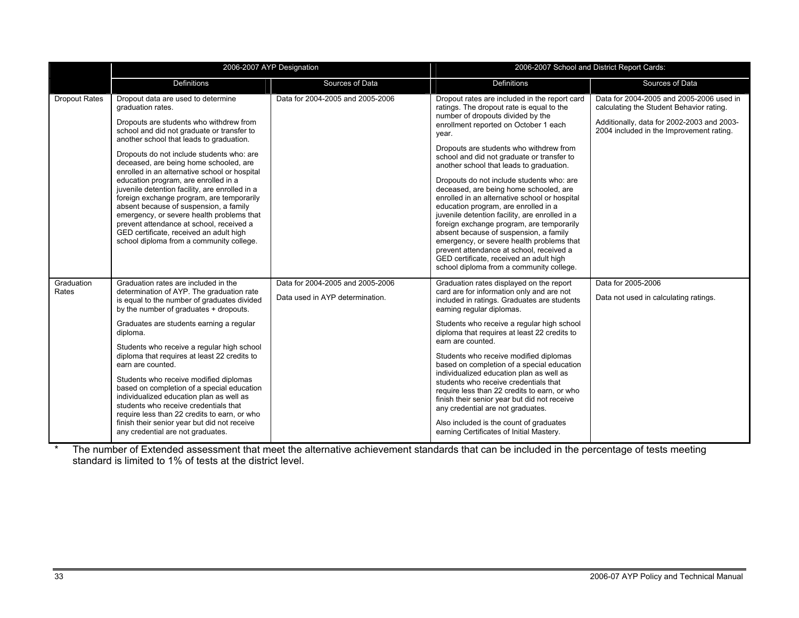|                     |                                                                                                                                                                                                                                                                                                                                                                                                                                                                                                                                                                                                                                                                                                       | 2006-2007 AYP Designation                                           | 2006-2007 School and District Report Cards:                                                                                                                                                                                                                                                                                                                                                                                                                                                                                                                                                                                                                                                                                                                                                                                     |                                                                                                                                                                                |  |
|---------------------|-------------------------------------------------------------------------------------------------------------------------------------------------------------------------------------------------------------------------------------------------------------------------------------------------------------------------------------------------------------------------------------------------------------------------------------------------------------------------------------------------------------------------------------------------------------------------------------------------------------------------------------------------------------------------------------------------------|---------------------------------------------------------------------|---------------------------------------------------------------------------------------------------------------------------------------------------------------------------------------------------------------------------------------------------------------------------------------------------------------------------------------------------------------------------------------------------------------------------------------------------------------------------------------------------------------------------------------------------------------------------------------------------------------------------------------------------------------------------------------------------------------------------------------------------------------------------------------------------------------------------------|--------------------------------------------------------------------------------------------------------------------------------------------------------------------------------|--|
|                     | <b>Definitions</b>                                                                                                                                                                                                                                                                                                                                                                                                                                                                                                                                                                                                                                                                                    | Sources of Data                                                     | <b>Definitions</b>                                                                                                                                                                                                                                                                                                                                                                                                                                                                                                                                                                                                                                                                                                                                                                                                              | Sources of Data                                                                                                                                                                |  |
| Dropout Rates       | Dropout data are used to determine<br>graduation rates.<br>Dropouts are students who withdrew from<br>school and did not graduate or transfer to<br>another school that leads to graduation.<br>Dropouts do not include students who: are<br>deceased, are being home schooled, are<br>enrolled in an alternative school or hospital<br>education program, are enrolled in a<br>juvenile detention facility, are enrolled in a<br>foreign exchange program, are temporarily<br>absent because of suspension, a family<br>emergency, or severe health problems that<br>prevent attendance at school, received a<br>GED certificate, received an adult high<br>school diploma from a community college. | Data for 2004-2005 and 2005-2006                                    | Dropout rates are included in the report card<br>ratings. The dropout rate is equal to the<br>number of dropouts divided by the<br>enrollment reported on October 1 each<br>year.<br>Dropouts are students who withdrew from<br>school and did not graduate or transfer to<br>another school that leads to graduation.<br>Dropouts do not include students who: are<br>deceased, are being home schooled, are<br>enrolled in an alternative school or hospital<br>education program, are enrolled in a<br>juvenile detention facility, are enrolled in a<br>foreign exchange program, are temporarily<br>absent because of suspension, a family<br>emergency, or severe health problems that<br>prevent attendance at school, received a<br>GED certificate, received an adult high<br>school diploma from a community college. | Data for 2004-2005 and 2005-2006 used in<br>calculating the Student Behavior rating.<br>Additionally, data for 2002-2003 and 2003-<br>2004 included in the Improvement rating. |  |
| Graduation<br>Rates | Graduation rates are included in the<br>determination of AYP. The graduation rate<br>is equal to the number of graduates divided<br>by the number of graduates + dropouts.<br>Graduates are students earning a regular<br>diploma.<br>Students who receive a regular high school<br>diploma that requires at least 22 credits to<br>earn are counted.<br>Students who receive modified diplomas<br>based on completion of a special education<br>individualized education plan as well as<br>students who receive credentials that<br>require less than 22 credits to earn, or who<br>finish their senior year but did not receive<br>any credential are not graduates.                               | Data for 2004-2005 and 2005-2006<br>Data used in AYP determination. | Graduation rates displayed on the report<br>card are for information only and are not<br>included in ratings. Graduates are students<br>earning regular diplomas.<br>Students who receive a regular high school<br>diploma that requires at least 22 credits to<br>earn are counted.<br>Students who receive modified diplomas<br>based on completion of a special education<br>individualized education plan as well as<br>students who receive credentials that<br>require less than 22 credits to earn, or who<br>finish their senior year but did not receive<br>any credential are not graduates.<br>Also included is the count of graduates<br>earning Certificates of Initial Mastery.                                                                                                                                   | Data for 2005-2006<br>Data not used in calculating ratings.                                                                                                                    |  |

\* The number of Extended assessment that meet the alternative achievement standards that can be included in the percentage of tests meeting standard is limited to 1% of tests at the district level.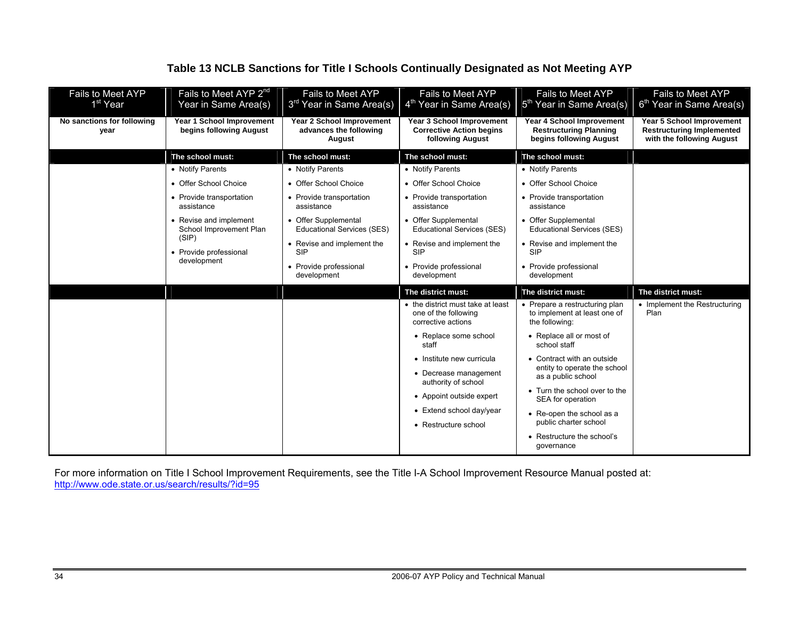#### **Table 13 NCLB Sanctions for Title I Schools Continually Designated as Not Meeting AYP**

| Fails to Meet AYP<br>1 <sup>st</sup> Year | Fails to Meet AYP 2 <sup>nd</sup><br>Year in Same Area(s) | Fails to Meet AYP<br>3 <sup>rd</sup> Year in Same Area(s)            | <b>Fails to Meet AYP</b><br>4 <sup>th</sup> Year in Same Area(s)                 | Fails to Meet AYP<br>5 <sup>th</sup> Year in Same Area(s)                             | Fails to Meet AYP<br>6 <sup>th</sup> Year in Same Area(s)                                         |
|-------------------------------------------|-----------------------------------------------------------|----------------------------------------------------------------------|----------------------------------------------------------------------------------|---------------------------------------------------------------------------------------|---------------------------------------------------------------------------------------------------|
| No sanctions for following<br>year        | Year 1 School Improvement<br>begins following August      | <b>Year 2 School Improvement</b><br>advances the following<br>August | Year 3 School Improvement<br><b>Corrective Action begins</b><br>following August | Year 4 School Improvement<br><b>Restructuring Planning</b><br>begins following August | <b>Year 5 School Improvement</b><br><b>Restructuring Implemented</b><br>with the following August |
|                                           | The school must:                                          | The school must:                                                     | The school must:                                                                 | The school must:                                                                      |                                                                                                   |
|                                           | • Notify Parents                                          | • Notify Parents                                                     | • Notify Parents                                                                 | • Notify Parents                                                                      |                                                                                                   |
|                                           | • Offer School Choice                                     | • Offer School Choice                                                | • Offer School Choice                                                            | • Offer School Choice                                                                 |                                                                                                   |
|                                           | • Provide transportation<br>assistance                    | • Provide transportation<br>assistance                               | • Provide transportation<br>assistance                                           | • Provide transportation<br>assistance                                                |                                                                                                   |
|                                           | • Revise and implement<br>School Improvement Plan         | • Offer Supplemental<br><b>Educational Services (SES)</b>            | • Offer Supplemental<br><b>Educational Services (SES)</b>                        | • Offer Supplemental<br><b>Educational Services (SES)</b>                             |                                                                                                   |
|                                           | (SIP)<br>• Provide professional<br>development            | • Revise and implement the<br><b>SIP</b>                             | • Revise and implement the<br><b>SIP</b>                                         | • Revise and implement the<br><b>SIP</b>                                              |                                                                                                   |
|                                           |                                                           | • Provide professional<br>development                                | • Provide professional<br>development                                            | • Provide professional<br>development                                                 |                                                                                                   |
|                                           |                                                           |                                                                      | The district must:                                                               | The district must:                                                                    | The district must:                                                                                |
|                                           |                                                           |                                                                      | • the district must take at least<br>one of the following<br>corrective actions  | • Prepare a restructuring plan<br>to implement at least one of<br>the following:      | • Implement the Restructuring<br>Plan                                                             |
|                                           |                                                           |                                                                      | • Replace some school<br>staff                                                   | • Replace all or most of<br>school staff                                              |                                                                                                   |
|                                           |                                                           |                                                                      | • Institute new curricula                                                        | • Contract with an outside                                                            |                                                                                                   |
|                                           |                                                           |                                                                      | • Decrease management<br>authority of school                                     | entity to operate the school<br>as a public school                                    |                                                                                                   |
|                                           |                                                           |                                                                      | • Appoint outside expert                                                         | • Turn the school over to the<br>SEA for operation                                    |                                                                                                   |
|                                           |                                                           |                                                                      | • Extend school day/year                                                         | • Re-open the school as a                                                             |                                                                                                   |
|                                           |                                                           |                                                                      | • Restructure school                                                             | public charter school                                                                 |                                                                                                   |
|                                           |                                                           |                                                                      |                                                                                  | • Restructure the school's<br>qovernance                                              |                                                                                                   |

For more information on Title I School Improvement Requirements, see the Title I-A School Improvement Resource Manual posted at: http://www.ode.state.or.us/search/results/?id=95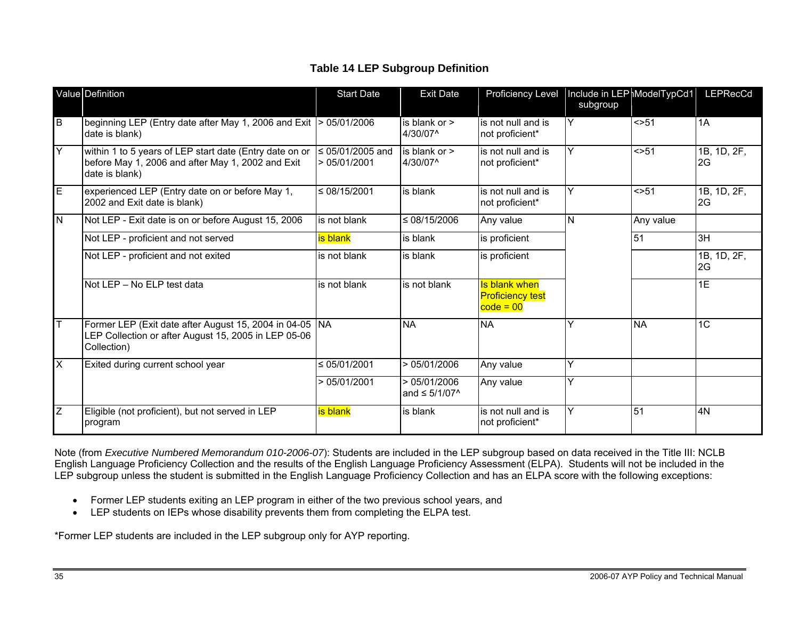#### **Table 14 LEP Subgroup Definition**

|                  | Value Definition                                                                                                                 | <b>Start Date</b>               | <b>Exit Date</b>                         | <b>Proficiency Level</b>                                       | Include in LEP ModelTypCd1<br>subgroup |           | LEPRecCd          |
|------------------|----------------------------------------------------------------------------------------------------------------------------------|---------------------------------|------------------------------------------|----------------------------------------------------------------|----------------------------------------|-----------|-------------------|
| B                | beginning LEP (Entry date after May 1, 2006 and Exit $\vert$ > 05/01/2006<br>date is blank)                                      |                                 | is blank or ><br>4/30/07^                | is not null and is<br>not proficient*                          | Y                                      | $<$ > 51  | 1A                |
| Y                | within 1 to 5 years of LEP start date (Entry date on or<br>before May 1, 2006 and after May 1, 2002 and Exit<br>date is blank)   | s 05/01/2005 and<br>>05/01/2001 | is blank or $>$<br>4/30/07^              | is not null and is<br>not proficient*                          | Y                                      | $<$ 51    | 1B, 1D, 2F,<br>2G |
| E                | experienced LEP (Entry date on or before May 1,<br>2002 and Exit date is blank)                                                  | $\leq 08/15/2001$               | is blank                                 | is not null and is<br>not proficient*                          | Ý                                      | $<$ > 51  | 1B, 1D, 2F,<br>2G |
| N                | Not LEP - Exit date is on or before August 15, 2006                                                                              | is not blank                    | $\leq$ 08/15/2006                        | Any value                                                      | lN.                                    | Any value |                   |
|                  | Not LEP - proficient and not served                                                                                              | is blank                        | is blank                                 | is proficient                                                  |                                        | 51        | 3H                |
|                  | Not LEP - proficient and not exited                                                                                              | is not blank                    | is blank                                 | is proficient                                                  |                                        |           | 1B, 1D, 2F,<br>2G |
|                  | Not LEP - No ELP test data                                                                                                       | is not blank                    | is not blank                             | <b>Is blank when</b><br><b>Proficiency test</b><br>$code = 00$ |                                        |           | 1E                |
|                  | Former LEP (Exit date after August 15, 2004 in 04-05   NA<br>LEP Collection or after August 15, 2005 in LEP 05-06<br>Collection) |                                 | <b>NA</b>                                | <b>NA</b>                                                      | ٧                                      | <b>NA</b> | $\overline{1C}$   |
| $\times$         | Exited during current school year                                                                                                | $\leq 05/01/2001$               | >05/01/2006                              | Any value                                                      | Y                                      |           |                   |
|                  |                                                                                                                                  | >05/01/2001                     | >05/01/2006<br>and $\leq 5/1/07^{\circ}$ | Any value                                                      | Y                                      |           |                   |
| $\boldsymbol{Z}$ | Eligible (not proficient), but not served in LEP<br>program                                                                      | is blank                        | is blank                                 | is not null and is<br>not proficient*                          | Y                                      | 51        | 4N                |

Note (from *Executive Numbered Memorandum 010-2006-07*): Students are included in the LEP subgroup based on data received in the Title III: NCLB English Language Proficiency Collection and the results of the English Language Proficiency Assessment (ELPA). Students will not be included in the LEP subgroup unless the student is submitted in the English Language Proficiency Collection and has an ELPA score with the following exceptions:

- Former LEP students exiting an LEP program in either of the two previous school years, and
- LEP students on IEPs whose disability prevents them from completing the ELPA test.

\*Former LEP students are included in the LEP subgroup only for AYP reporting.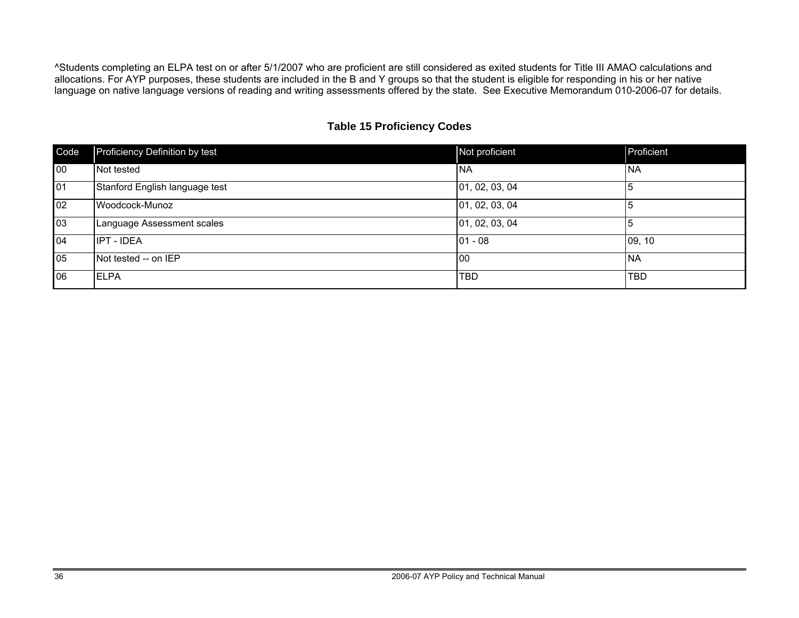^Students completing an ELPA test on or after 5/1/2007 who are proficient are still considered as exited students for Title III AMAO calculations and allocations. For AYP purposes, these students are included in the B and Y groups so that the student is eligible for responding in his or her native language on native language versions of reading and writing assessments offered by the state. See Executive Memorandum 010-2006-07 for details.

#### **Table 15 Proficiency Codes**

| Code | Proficiency Definition by test | Not proficient | Proficient |
|------|--------------------------------|----------------|------------|
| 00   | Not tested                     | <b>NA</b>      | <b>NA</b>  |
| 01   | Stanford English language test | 01, 02, 03, 04 |            |
| 02   | Woodcock-Munoz                 | 01, 02, 03, 04 | 5          |
| 03   | Language Assessment scales     | 01, 02, 03, 04 | 10         |
| 04   | <b>IPT - IDEA</b>              | $01 - 08$      | 09, 10     |
| 05   | Not tested -- on IEP           | l00            | <b>NA</b>  |
| 06   | <b>ELPA</b>                    | <b>TBD</b>     | <b>TBD</b> |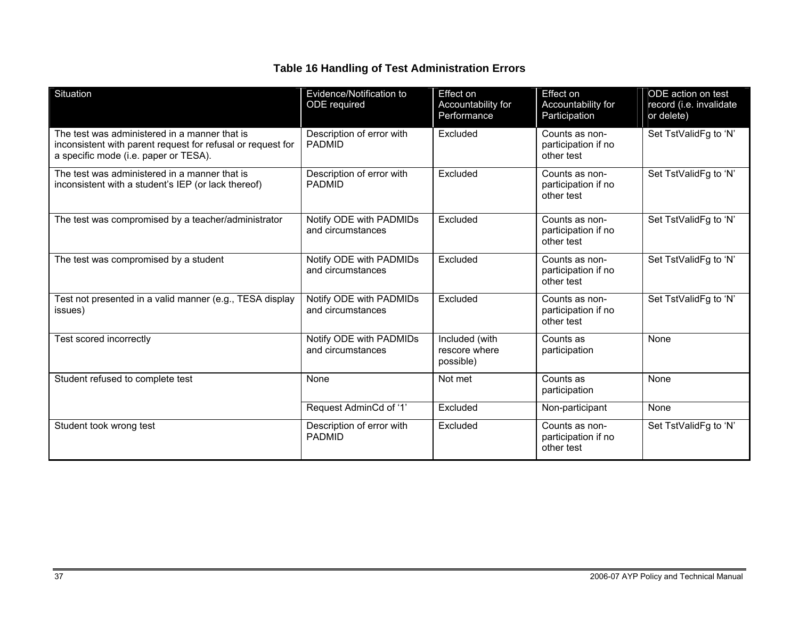#### **Table 16 Handling of Test Administration Errors**

| Situation                                                                                                                                             | Evidence/Notification to<br>ODE required     | Effect on<br>Accountability for<br>Performance | Effect on<br>Accountability for<br>Participation    | ODE action on test<br>record (i.e. invalidate<br>or delete) |
|-------------------------------------------------------------------------------------------------------------------------------------------------------|----------------------------------------------|------------------------------------------------|-----------------------------------------------------|-------------------------------------------------------------|
| The test was administered in a manner that is<br>inconsistent with parent request for refusal or request for<br>a specific mode (i.e. paper or TESA). | Description of error with<br><b>PADMID</b>   | Excluded                                       | Counts as non-<br>participation if no<br>other test | Set TstValidFg to 'N'                                       |
| The test was administered in a manner that is<br>inconsistent with a student's IEP (or lack thereof)                                                  | Description of error with<br><b>PADMID</b>   | Excluded                                       | Counts as non-<br>participation if no<br>other test | Set TstValidFg to 'N'                                       |
| The test was compromised by a teacher/administrator                                                                                                   | Notify ODE with PADMIDs<br>and circumstances | Excluded                                       | Counts as non-<br>participation if no<br>other test | Set TstValidFg to 'N'                                       |
| The test was compromised by a student                                                                                                                 | Notify ODE with PADMIDs<br>and circumstances | Excluded                                       | Counts as non-<br>participation if no<br>other test | Set TstValidFg to 'N'                                       |
| Test not presented in a valid manner (e.g., TESA display<br>issues)                                                                                   | Notify ODE with PADMIDs<br>and circumstances | Excluded                                       | Counts as non-<br>participation if no<br>other test | Set TstValidFg to 'N'                                       |
| Test scored incorrectly                                                                                                                               | Notify ODE with PADMIDs<br>and circumstances | Included (with<br>rescore where<br>possible)   | Counts as<br>participation                          | None                                                        |
| Student refused to complete test                                                                                                                      | None                                         | Not met                                        | Counts as<br>participation                          | None                                                        |
|                                                                                                                                                       | Request AdminCd of '1'                       | Excluded                                       | Non-participant                                     | None                                                        |
| Student took wrong test                                                                                                                               | Description of error with<br><b>PADMID</b>   | Excluded                                       | Counts as non-<br>participation if no<br>other test | Set TstValidFg to 'N'                                       |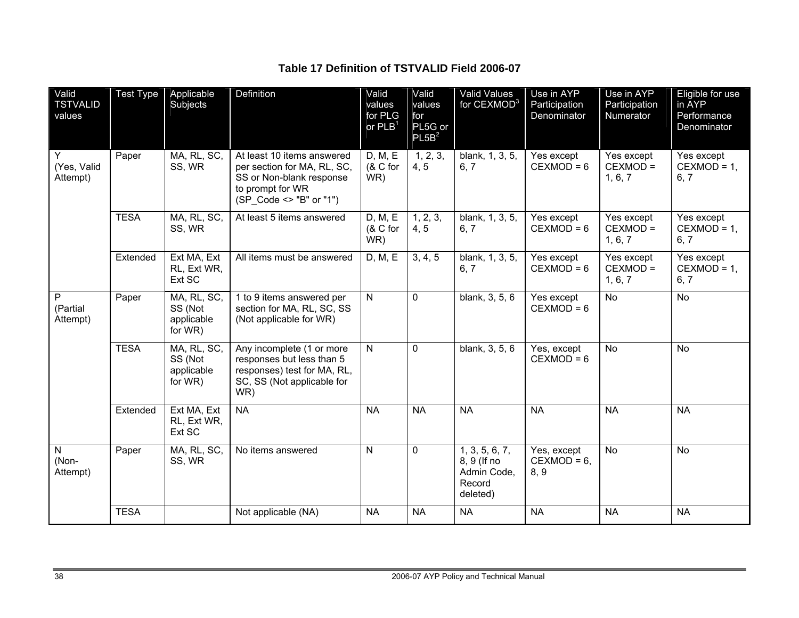**Table 17 Definition of TSTVALID Field 2006-07** 

| Valid<br><b>TSTVALID</b><br>values | <b>Test Type</b> | Applicable<br>Subjects                          | Definition                                                                                                                           | Valid<br>values<br>for PLG<br>or $PLB1$ | Valid<br>values<br>for<br>PL5G or<br>PL5B <sup>2</sup> | Valid Values<br>for CEXMOD <sup>3</sup>                            | Use in AYP<br>Participation<br>Denominator | Use in AYP<br>Participation<br>Numerator | Eligible for use<br>in AYP<br>Performance<br>Denominator |
|------------------------------------|------------------|-------------------------------------------------|--------------------------------------------------------------------------------------------------------------------------------------|-----------------------------------------|--------------------------------------------------------|--------------------------------------------------------------------|--------------------------------------------|------------------------------------------|----------------------------------------------------------|
| Y<br>(Yes, Valid<br>Attempt)       | Paper            | MA, RL, SC,<br>SS, WR                           | At least 10 items answered<br>per section for MA, RL, SC,<br>SS or Non-blank response<br>to prompt for WR<br>(SP Code <> "B" or "1") | D, M, E<br>$(8C$ for<br>WR)             | 1, 2, 3,<br>4, 5                                       | blank, 1, 3, 5,<br>6, 7                                            | Yes except<br>$CEXMOD = 6$                 | Yes except<br>CEXMOD =<br>1, 6, 7        | Yes except<br>$CEXMOD = 1,$<br>6, 7                      |
|                                    | <b>TESA</b>      | MA, RL, SC,<br>SS, WR                           | At least 5 items answered                                                                                                            | D, M, E<br>$(8C$ for<br>WR)             | 1, 2, 3,<br>4, 5                                       | blank, 1, 3, 5,<br>6, 7                                            | Yes except<br>$CEXMOD = 6$                 | Yes except<br>CEXMOD =<br>1, 6, 7        | Yes except<br>$CEXMOD = 1$ ,<br>6, 7                     |
|                                    | Extended         | Ext MA, Ext<br>RL, Ext WR,<br>Ext SC            | All items must be answered                                                                                                           | D, M, E                                 | 3, 4, 5                                                | blank, 1, 3, 5,<br>6, 7                                            | Yes except<br>$CEXMOD = 6$                 | Yes except<br>CEXMOD =<br>1, 6, 7        | Yes except<br>$CEXMOD = 1$ ,<br>6, 7                     |
| P<br>(Partial<br>Attempt)          | Paper            | MA, RL, SC,<br>SS (Not<br>applicable<br>for WR) | 1 to 9 items answered per<br>section for MA, RL, SC, SS<br>(Not applicable for WR)                                                   | $\mathsf{N}$                            | 0                                                      | blank, 3, 5, 6                                                     | Yes except<br>$CEXMOD = 6$                 | <b>No</b>                                | <b>No</b>                                                |
|                                    | <b>TESA</b>      | MA, RL, SC,<br>SS (Not<br>applicable<br>for WR) | Any incomplete (1 or more<br>responses but less than 5<br>responses) test for MA, RL,<br>SC, SS (Not applicable for<br>WR)           | N.                                      | 0                                                      | blank, 3, 5, 6                                                     | Yes, except<br>$CEXMOD = 6$                | <b>No</b>                                | <b>No</b>                                                |
|                                    | Extended         | Ext MA, Ext<br>RL, Ext WR,<br>Ext SC            | <b>NA</b>                                                                                                                            | <b>NA</b>                               | <b>NA</b>                                              | <b>NA</b>                                                          | <b>NA</b>                                  | <b>NA</b>                                | <b>NA</b>                                                |
| $\mathsf{N}$<br>(Non-<br>Attempt)  | Paper            | MA, RL, SC,<br>SS, WR                           | No items answered                                                                                                                    | N                                       | 0                                                      | 1, 3, 5, 6, 7,<br>8, 9 (If no<br>Admin Code,<br>Record<br>deleted) | Yes, except<br>$CEXMOD = 6$ ,<br>8, 9      | <b>No</b>                                | <b>No</b>                                                |
|                                    | <b>TESA</b>      |                                                 | Not applicable (NA)                                                                                                                  | <b>NA</b>                               | <b>NA</b>                                              | <b>NA</b>                                                          | <b>NA</b>                                  | <b>NA</b>                                | <b>NA</b>                                                |